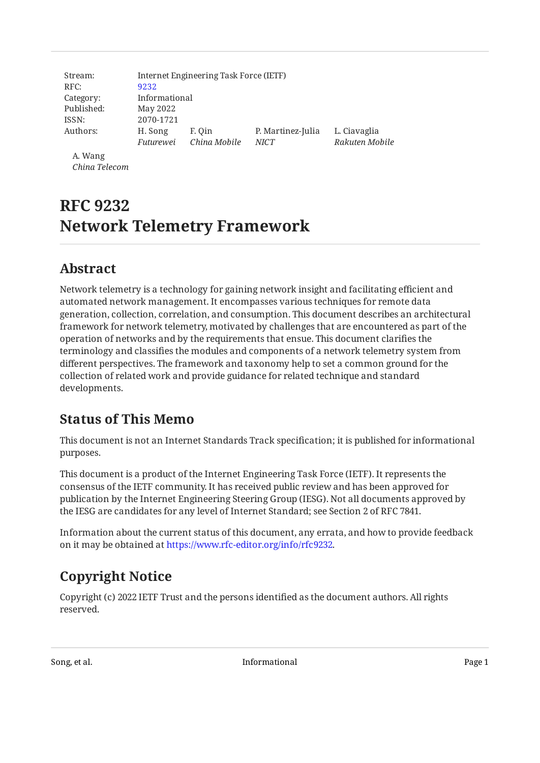| Stream:    |               | Internet Engineering Task Force (IETF) |                   |                |
|------------|---------------|----------------------------------------|-------------------|----------------|
| RFC:       | 9232          |                                        |                   |                |
| Category:  | Informational |                                        |                   |                |
| Published: | May 2022      |                                        |                   |                |
| ISSN:      | 2070-1721     |                                        |                   |                |
| Authors:   | H. Song       | F. Oin                                 | P. Martinez-Julia | L. Ciavaglia   |
|            | Futurewei     | China Mobile                           | <b>NICT</b>       | Rakuten Mobile |
| A. Wang    |               |                                        |                   |                |

*China Telecom*

# **RFC 9232 Network Telemetry Framework**

# <span id="page-0-0"></span>**[Abstract](#page-0-0)**

Network telemetry is a technology for gaining network insight and facilitating efficient and automated network management. It encompasses various techniques for remote data generation, collection, correlation, and consumption. This document describes an architectural framework for network telemetry, motivated by challenges that are encountered as part of the operation of networks and by the requirements that ensue. This document clarifies the terminology and classifies the modules and components of a network telemetry system from different perspectives. The framework and taxonomy help to set a common ground for the collection of related work and provide guidance for related technique and standard developments.

# <span id="page-0-1"></span>**[Status of This Memo](#page-0-1)**

This document is not an Internet Standards Track specification; it is published for informational purposes.

This document is a product of the Internet Engineering Task Force (IETF). It represents the consensus of the IETF community. It has received public review and has been approved for publication by the Internet Engineering Steering Group (IESG). Not all documents approved by the IESG are candidates for any level of Internet Standard; see Section 2 of RFC 7841.

Information about the current status of this document, any errata, and how to provide feedback on it may be obtained at [https://www.rfc-editor.org/info/rfc9232.](https://www.rfc-editor.org/info/rfc9232)

# <span id="page-0-2"></span>**[Copyright Notice](#page-0-2)**

Copyright (c) 2022 IETF Trust and the persons identified as the document authors. All rights reserved.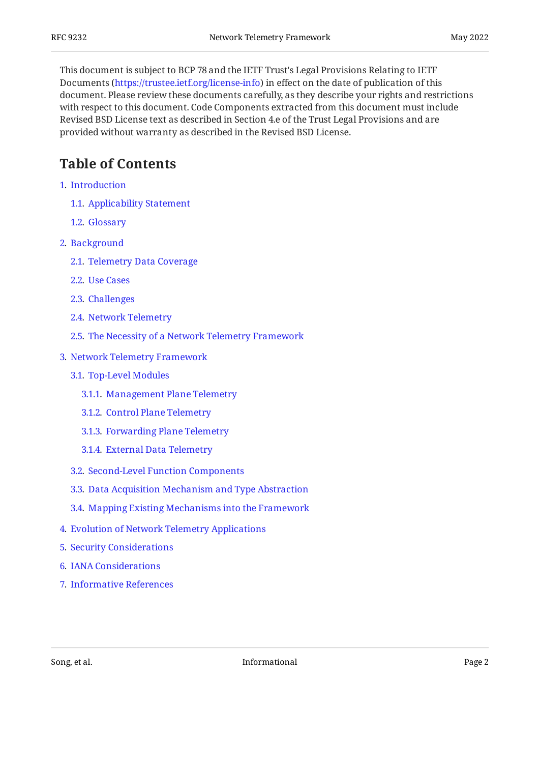This document is subject to BCP 78 and the IETF Trust's Legal Provisions Relating to IETF Documents (<https://trustee.ietf.org/license-info>) in effect on the date of publication of this document. Please review these documents carefully, as they describe your rights and restrictions with respect to this document. Code Components extracted from this document must include Revised BSD License text as described in Section 4.e of the Trust Legal Provisions and are provided without warranty as described in the Revised BSD License.

## <span id="page-1-0"></span>**[Table of Contents](#page-1-0)**

- [1](#page-3-0). [Introduction](#page-3-0)
	- [1.1.](#page-3-1) [Applicability Statement](#page-3-1)
	- [1.2.](#page-4-0) [Glossary](#page-4-0)
- [2](#page-5-0). [Background](#page-5-0)
	- [2.1.](#page-6-0) [Telemetry Data Coverage](#page-6-0)
	- [2.2.](#page-7-0) [Use Cases](#page-7-0)
	- [2.3.](#page-8-0) [Challenges](#page-8-0)
	- [2.4.](#page-9-0) [Network Telemetry](#page-9-0)
	- [2.5.](#page-11-0) [The Necessity of a Network Telemetry Framework](#page-11-0)
- [3](#page-12-0). [Network Telemetry Framework](#page-12-0)
	- [3.1.](#page-12-1) [Top-Level Modules](#page-12-1)
		- [3.1.1](#page-15-0). [Management Plane Telemetry](#page-15-0)
		- [3.1.2](#page-15-1). [Control Plane Telemetry](#page-15-1)
		- [3.1.3](#page-16-0). [Forwarding Plane Telemetry](#page-16-0)
		- [3.1.4](#page-17-0). [External Data Telemetry](#page-17-0)
	- [3.2.](#page-18-0) [Second-Level Function Components](#page-18-0)
	- [3.3.](#page-19-0) [Data Acquisition Mechanism and Type Abstraction](#page-19-0)
	- [3.4.](#page-20-0) [Mapping Existing Mechanisms into the Framework](#page-20-0)
- [4](#page-21-0). [Evolution of Network Telemetry Applications](#page-21-0)
- [5](#page-22-0). [Security Considerations](#page-22-0)
- [6](#page-23-0). [IANA Considerations](#page-23-0)
- [7](#page-23-1). [Informative References](#page-23-1)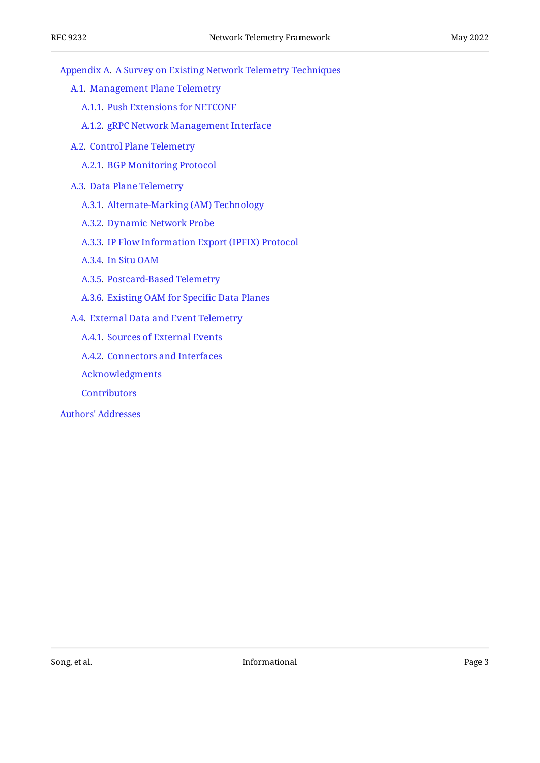[Appendix A.](#page-27-0) [A Survey on Existing Network Telemetry Techniques](#page-27-0)

- [A.1](#page-27-1). [Management Plane Telemetry](#page-27-1)
	- [A.1.1.](#page-27-2) [Push Extensions for NETCONF](#page-27-2)
	- [A.1.2.](#page-28-0) [gRPC Network Management Interface](#page-28-0)
- [A.2](#page-28-1). [Control Plane Telemetry](#page-28-1)
	- [A.2.1.](#page-28-2) [BGP Monitoring Protocol](#page-28-2)
- [A.3](#page-28-3). [Data Plane Telemetry](#page-28-3)
	- [A.3.1.](#page-28-4) [Alternate-Marking \(AM\) Technology](#page-28-4)
	- [A.3.2.](#page-29-0) [Dynamic Network Probe](#page-29-0)
	- [A.3.3.](#page-30-0) [IP Flow Information Export \(IPFIX\) Protocol](#page-30-0)
	- [A.3.4.](#page-30-1) [In Situ OAM](#page-30-1)
	- [A.3.5.](#page-30-2) [Postcard-Based Telemetry](#page-30-2)
	- [A.3.6.](#page-30-3) [Existing OAM for Speci](#page-30-3)fic Data Planes
- [A.4](#page-30-4). [External Data and Event Telemetry](#page-30-4)
	- [A.4.1.](#page-30-5) [Sources of External Events](#page-30-5)
	- [A.4.2.](#page-31-0) [Connectors and Interfaces](#page-31-0)
	- [Acknowledgments](#page-32-0)
	- **[Contributors](#page-32-1)**
- [Authors' Addresses](#page-32-2)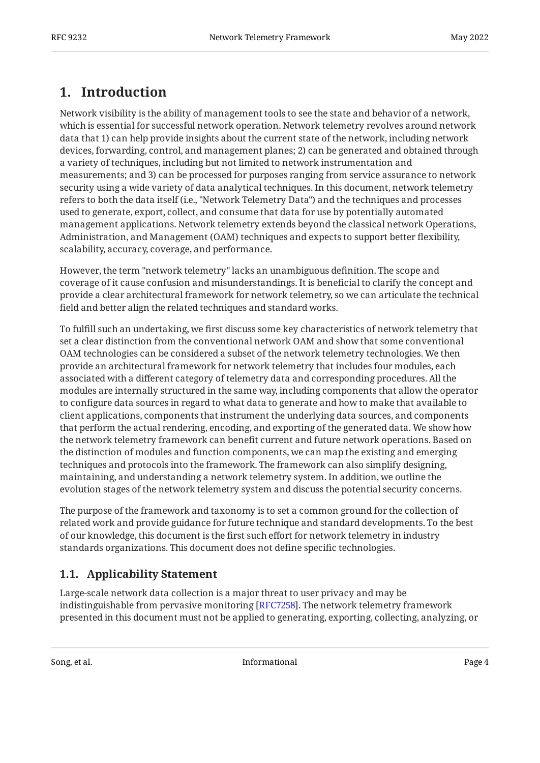# <span id="page-3-0"></span>**[1. Introduction](#page-3-0)**

Network visibility is the ability of management tools to see the state and behavior of a network, which is essential for successful network operation. Network telemetry revolves around network data that 1) can help provide insights about the current state of the network, including network devices, forwarding, control, and management planes; 2) can be generated and obtained through a variety of techniques, including but not limited to network instrumentation and measurements; and 3) can be processed for purposes ranging from service assurance to network security using a wide variety of data analytical techniques. In this document, network telemetry refers to both the data itself (i.e., "Network Telemetry Data") and the techniques and processes used to generate, export, collect, and consume that data for use by potentially automated management applications. Network telemetry extends beyond the classical network Operations, Administration, and Management (OAM) techniques and expects to support better flexibility, scalability, accuracy, coverage, and performance.

However, the term "network telemetry" lacks an unambiguous definition. The scope and coverage of it cause confusion and misunderstandings. It is beneficial to clarify the concept and provide a clear architectural framework for network telemetry, so we can articulate the technical field and better align the related techniques and standard works.

To fulfill such an undertaking, we first discuss some key characteristics of network telemetry that set a clear distinction from the conventional network OAM and show that some conventional OAM technologies can be considered a subset of the network telemetry technologies. We then provide an architectural framework for network telemetry that includes four modules, each associated with a different category of telemetry data and corresponding procedures. All the modules are internally structured in the same way, including components that allow the operator to configure data sources in regard to what data to generate and how to make that available to client applications, components that instrument the underlying data sources, and components that perform the actual rendering, encoding, and exporting of the generated data. We show how the network telemetry framework can benefit current and future network operations. Based on the distinction of modules and function components, we can map the existing and emerging techniques and protocols into the framework. The framework can also simplify designing, maintaining, and understanding a network telemetry system. In addition, we outline the evolution stages of the network telemetry system and discuss the potential security concerns.

The purpose of the framework and taxonomy is to set a common ground for the collection of related work and provide guidance for future technique and standard developments. To the best of our knowledge, this document is the first such effort for network telemetry in industry standards organizations. This document does not define specific technologies.

## <span id="page-3-1"></span>**[1.1. Applicability Statement](#page-3-1)**

Large-scale network data collection is a major threat to user privacy and may be indistinguishable from pervasive monitoring [[RFC7258\]](#page-25-0). The network telemetry framework presented in this document must not be applied to generating, exporting, collecting, analyzing, or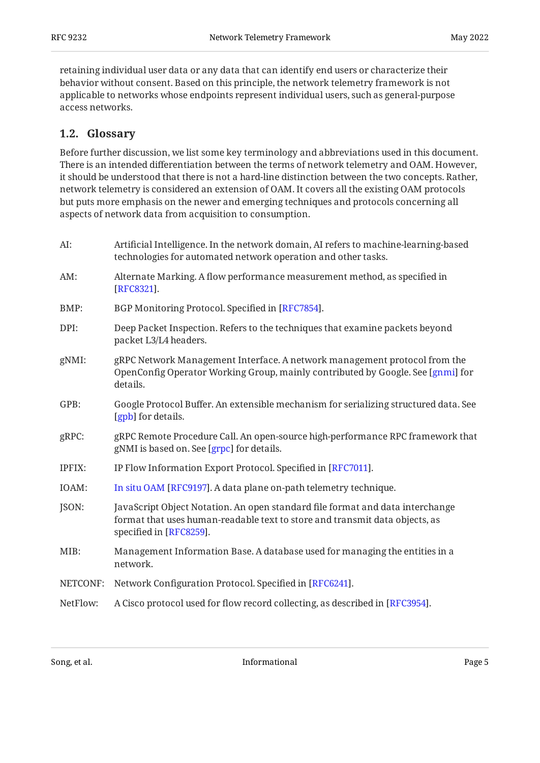retaining individual user data or any data that can identify end users or characterize their behavior without consent. Based on this principle, the network telemetry framework is not applicable to networks whose endpoints represent individual users, such as general-purpose access networks.

### <span id="page-4-0"></span>**[1.2. Glossary](#page-4-0)**

Before further discussion, we list some key terminology and abbreviations used in this document. There is an intended differentiation between the terms of network telemetry and OAM. However, it should be understood that there is not a hard-line distinction between the two concepts. Rather, network telemetry is considered an extension of OAM. It covers all the existing OAM protocols but puts more emphasis on the newer and emerging techniques and protocols concerning all aspects of network data from acquisition to consumption.

| AI:      | Artificial Intelligence. In the network domain, AI refers to machine-learning-based<br>technologies for automated network operation and other tasks.                                    |
|----------|-----------------------------------------------------------------------------------------------------------------------------------------------------------------------------------------|
| AM:      | Alternate Marking. A flow performance measurement method, as specified in<br>[RFC8321].                                                                                                 |
| BMP:     | BGP Monitoring Protocol. Specified in [RFC7854].                                                                                                                                        |
| DPI:     | Deep Packet Inspection. Refers to the techniques that examine packets beyond<br>packet L3/L4 headers.                                                                                   |
| gNMI:    | gRPC Network Management Interface. A network management protocol from the<br>OpenConfig Operator Working Group, mainly contributed by Google. See [gnmi] for<br>details.                |
| GPB:     | Google Protocol Buffer. An extensible mechanism for serializing structured data. See<br>[gpb] for details.                                                                              |
| gRPC:    | gRPC Remote Procedure Call. An open-source high-performance RPC framework that<br>gNMI is based on. See [grpc] for details.                                                             |
| IPFIX:   | IP Flow Information Export Protocol. Specified in [RFC7011].                                                                                                                            |
| IOAM:    | In situ OAM [RFC9197]. A data plane on-path telemetry technique.                                                                                                                        |
| JSON:    | JavaScript Object Notation. An open standard file format and data interchange<br>format that uses human-readable text to store and transmit data objects, as<br>specified in [RFC8259]. |
| MIB:     | Management Information Base. A database used for managing the entities in a<br>network.                                                                                                 |
| NETCONF: | Network Configuration Protocol. Specified in [RFC6241].                                                                                                                                 |
| NetFlow: | A Cisco protocol used for flow record collecting, as described in [RFC3954].                                                                                                            |
|          |                                                                                                                                                                                         |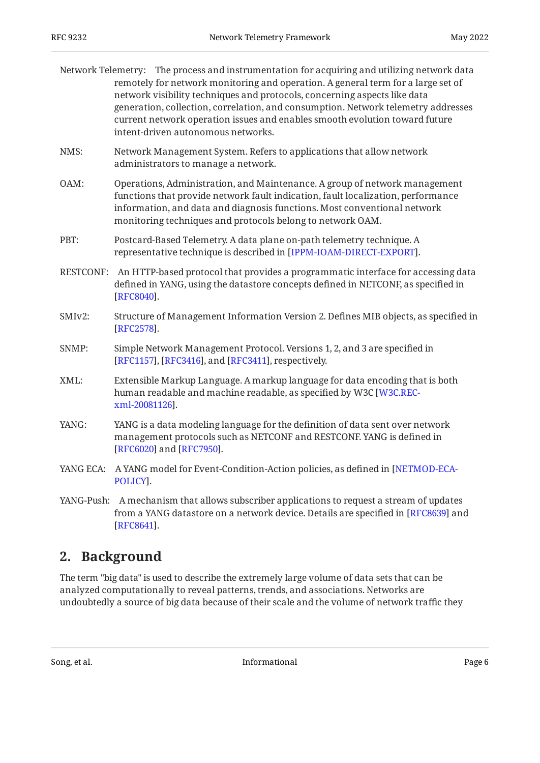|                  | Network Telemetry: The process and instrumentation for acquiring and utilizing network data<br>remotely for network monitoring and operation. A general term for a large set of<br>network visibility techniques and protocols, concerning aspects like data<br>generation, collection, correlation, and consumption. Network telemetry addresses<br>current network operation issues and enables smooth evolution toward future<br>intent-driven autonomous networks. |
|------------------|------------------------------------------------------------------------------------------------------------------------------------------------------------------------------------------------------------------------------------------------------------------------------------------------------------------------------------------------------------------------------------------------------------------------------------------------------------------------|
| NMS:             | Network Management System. Refers to applications that allow network<br>administrators to manage a network.                                                                                                                                                                                                                                                                                                                                                            |
| OAM:             | Operations, Administration, and Maintenance. A group of network management<br>functions that provide network fault indication, fault localization, performance<br>information, and data and diagnosis functions. Most conventional network<br>monitoring techniques and protocols belong to network OAM.                                                                                                                                                               |
| PBT:             | Postcard-Based Telemetry. A data plane on-path telemetry technique. A<br>representative technique is described in [IPPM-IOAM-DIRECT-EXPORT].                                                                                                                                                                                                                                                                                                                           |
| <b>RESTCONF:</b> | An HTTP-based protocol that provides a programmatic interface for accessing data<br>defined in YANG, using the datastore concepts defined in NETCONF, as specified in<br>[RFC8040].                                                                                                                                                                                                                                                                                    |
| SMIv2:           | Structure of Management Information Version 2. Defines MIB objects, as specified in<br>[RFC2578].                                                                                                                                                                                                                                                                                                                                                                      |
| SNMP:            | Simple Network Management Protocol. Versions 1, 2, and 3 are specified in<br>[RFC1157], [RFC3416], and [RFC3411], respectively.                                                                                                                                                                                                                                                                                                                                        |
| XML:             | Extensible Markup Language. A markup language for data encoding that is both<br>human readable and machine readable, as specified by W3C [W3C.REC-<br>xml-20081126].                                                                                                                                                                                                                                                                                                   |
| YANG:            | YANG is a data modeling language for the definition of data sent over network<br>management protocols such as NETCONF and RESTCONF. YANG is defined in<br>[RFC6020] and [RFC7950].                                                                                                                                                                                                                                                                                     |
| YANG ECA:        | A YANG model for Event-Condition-Action policies, as defined in [NETMOD-ECA-<br>POLICY].                                                                                                                                                                                                                                                                                                                                                                               |
| YANG-Push:       | A mechanism that allows subscriber applications to request a stream of updates<br>from a YANG datastore on a network device. Details are specified in [RFC8639] and<br>[RFC8641].                                                                                                                                                                                                                                                                                      |

# <span id="page-5-0"></span>**[2. Background](#page-5-0)**

The term "big data" is used to describe the extremely large volume of data sets that can be analyzed computationally to reveal patterns, trends, and associations. Networks are undoubtedly a source of big data because of their scale and the volume of network traffic they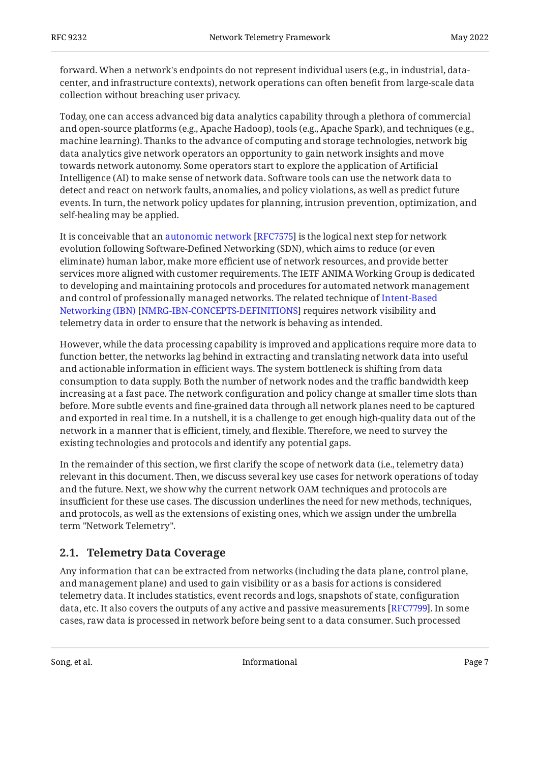forward. When a network's endpoints do not represent individual users (e.g., in industrial, datacenter, and infrastructure contexts), network operations can often benefit from large-scale data collection without breaching user privacy.

Today, one can access advanced big data analytics capability through a plethora of commercial and open-source platforms (e.g., Apache Hadoop), tools (e.g., Apache Spark), and techniques (e.g., machine learning). Thanks to the advance of computing and storage technologies, network big data analytics give network operators an opportunity to gain network insights and move towards network autonomy. Some operators start to explore the application of Artificial Intelligence (AI) to make sense of network data. Software tools can use the network data to detect and react on network faults, anomalies, and policy violations, as well as predict future events. In turn, the network policy updates for planning, intrusion prevention, optimization, and self-healing may be applied.

Itis conceivable that an autonomic network [RFC7575] is the logical next step for network evolution following Software-Defined Networking (SDN), which aims to reduce (or even eliminate) human labor, make more efficient use of network resources, and provide better services more aligned with customer requirements. The IETF ANIMA Working Group is dedicated to developing and maintaining protocols and procedures for automated network management and control of professionally managed networks. The related technique of [Intent-Based](#page-24-4) [Networking \(IBN\)](#page-24-4) [[NMRG-IBN-CONCEPTS-DEFINITIONS](#page-24-4)] requires network visibility and telemetry data in order to ensure that the network is behaving as intended.

However, while the data processing capability is improved and applications require more data to function better, the networks lag behind in extracting and translating network data into useful and actionable information in efficient ways. The system bottleneck is shifting from data consumption to data supply. Both the number of network nodes and the traffic bandwidth keep increasing at a fast pace. The network configuration and policy change at smaller time slots than before. More subtle events and fine-grained data through all network planes need to be captured and exported in real time. In a nutshell, it is a challenge to get enough high-quality data out of the network in a manner that is efficient, timely, and flexible. Therefore, we need to survey the existing technologies and protocols and identify any potential gaps.

In the remainder of this section, we first clarify the scope of network data (i.e., telemetry data) relevant in this document. Then, we discuss several key use cases for network operations of today and the future. Next, we show why the current network OAM techniques and protocols are insufficient for these use cases. The discussion underlines the need for new methods, techniques, and protocols, as well as the extensions of existing ones, which we assign under the umbrella term "Network Telemetry".

### <span id="page-6-0"></span>**[2.1. Telemetry Data Coverage](#page-6-0)**

Any information that can be extracted from networks (including the data plane, control plane, and management plane) and used to gain visibility or as a basis for actions is considered telemetry data. It includes statistics, event records and logs, snapshots of state, configuration data, etc. It also covers the outputs of any active and passive measurements [RFC7799]. In some cases, raw data is processed in network before being sent to a data consumer. Such processed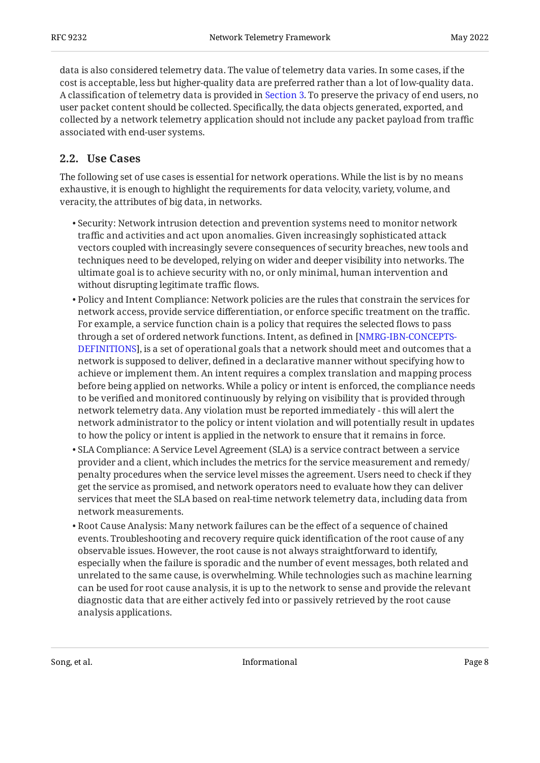data is also considered telemetry data. The value of telemetry data varies. In some cases, if the cost is acceptable, less but higher-quality data are preferred rather than a lot of low-quality data. A classification of telemetry data is provided in [Section 3](#page-12-0). To preserve the privacy of end users, no user packet content should be collected. Specifically, the data objects generated, exported, and collected by a network telemetry application should not include any packet payload from traffic associated with end-user systems.

## <span id="page-7-0"></span>**[2.2. Use Cases](#page-7-0)**

The following set of use cases is essential for network operations. While the list is by no means exhaustive, it is enough to highlight the requirements for data velocity, variety, volume, and veracity, the attributes of big data, in networks.

- $\bullet$  Security: Network intrusion detection and prevention systems need to monitor network traffic and activities and act upon anomalies. Given increasingly sophisticated attack vectors coupled with increasingly severe consequences of security breaches, new tools and techniques need to be developed, relying on wider and deeper visibility into networks. The ultimate goal is to achieve security with no, or only minimal, human intervention and without disrupting legitimate traffic flows.
- $\bullet$  Policy and Intent Compliance: Network policies are the rules that constrain the services for network access, provide service differentiation, or enforce specific treatment on the traffic. For example, a service function chain is a policy that requires the selected flows to pass through a set of ordered network functions. Intent, as defined in [[NMRG-IBN-CONCEPTS-](#page-24-4)[DEFINITIONS](#page-24-4)], is a set of operational goals that a network should meet and outcomes that a network is supposed to deliver, defined in a declarative manner without specifying how to achieve or implement them. An intent requires a complex translation and mapping process before being applied on networks. While a policy or intent is enforced, the compliance needs to be verified and monitored continuously by relying on visibility that is provided through network telemetry data. Any violation must be reported immediately - this will alert the network administrator to the policy or intent violation and will potentially result in updates to how the policy or intent is applied in the network to ensure that it remains in force.
- $\bullet$  SLA Compliance: A Service Level Agreement (SLA) is a service contract between a service provider and a client, which includes the metrics for the service measurement and remedy/ penalty procedures when the service level misses the agreement. Users need to check if they get the service as promised, and network operators need to evaluate how they can deliver services that meet the SLA based on real-time network telemetry data, including data from network measurements.
- $\bullet$  Root Cause Analysis: Many network failures can be the effect of a sequence of chained events. Troubleshooting and recovery require quick identification of the root cause of any observable issues. However, the root cause is not always straightforward to identify, especially when the failure is sporadic and the number of event messages, both related and unrelated to the same cause, is overwhelming. While technologies such as machine learning can be used for root cause analysis, it is up to the network to sense and provide the relevant diagnostic data that are either actively fed into or passively retrieved by the root cause analysis applications.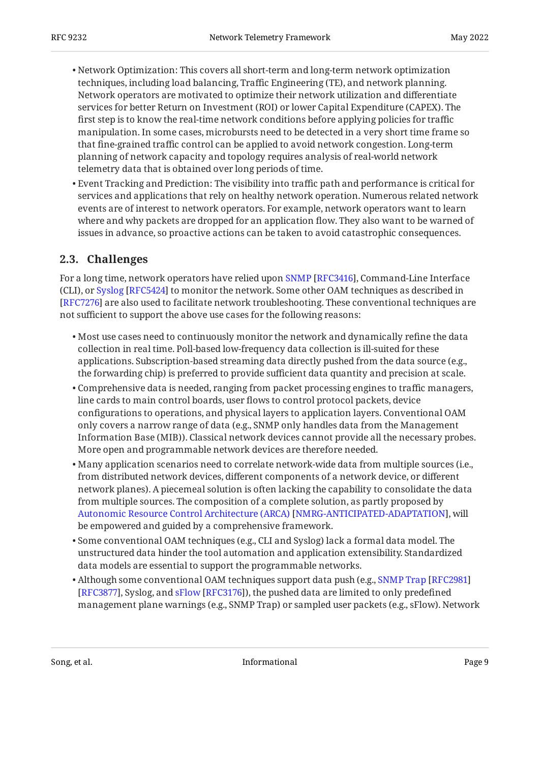- Network Optimization: This covers all short-term and long-term network optimization techniques, including load balancing, Traffic Engineering (TE), and network planning. Network operators are motivated to optimize their network utilization and differentiate services for better Return on Investment (ROI) or lower Capital Expenditure (CAPEX). The first step is to know the real-time network conditions before applying policies for traffic manipulation. In some cases, microbursts need to be detected in a very short time frame so that fine-grained traffic control can be applied to avoid network congestion. Long-term planning of network capacity and topology requires analysis of real-world network telemetry data that is obtained over long periods of time.
- $\bullet$  Event Tracking and Prediction: The visibility into traffic path and performance is critical for services and applications that rely on healthy network operation. Numerous related network events are of interest to network operators. For example, network operators want to learn where and why packets are dropped for an application flow. They also want to be warned of issues in advance, so proactive actions can be taken to avoid catastrophic consequences.

## <span id="page-8-0"></span>**[2.3. Challenges](#page-8-0)**

Fora long time, network operators have relied upon SNMP [RFC3416], Command-Line Interface (CLI),or Syslog [RFC5424] to monitor the network. Some other OAM techniques as described in [[RFC7276\]](#page-25-7) are also used to facilitate network troubleshooting. These conventional techniques are not sufficient to support the above use cases for the following reasons:

- $\bullet$  Most use cases need to continuously monitor the network and dynamically refine the data collection in real time. Poll-based low-frequency data collection is ill-suited for these applications. Subscription-based streaming data directly pushed from the data source (e.g., the forwarding chip) is preferred to provide sufficient data quantity and precision at scale.
- Comprehensive data is needed, ranging from packet processing engines to traffic managers, line cards to main control boards, user flows to control protocol packets, device configurations to operations, and physical layers to application layers. Conventional OAM only covers a narrow range of data (e.g., SNMP only handles data from the Management Information Base (MIB)). Classical network devices cannot provide all the necessary probes. More open and programmable network devices are therefore needed.
- Many application scenarios need to correlate network-wide data from multiple sources (i.e., from distributed network devices, different components of a network device, or different network planes). A piecemeal solution is often lacking the capability to consolidate the data from multiple sources. The composition of a complete solution, as partly proposed by [Autonomic Resource Control Architecture \(ARCA\)](#page-24-5) [[NMRG-ANTICIPATED-ADAPTATION\]](#page-24-5), will be empowered and guided by a comprehensive framework.
- Some conventional OAM techniques (e.g., CLI and Syslog) lack a formal data model. The unstructured data hinder the tool automation and application extensibility. Standardized data models are essential to support the programmable networks.
- $\bullet$  Although some conventional OAM techniques support data push (e.g., [SNMP Trap](#page-24-6) [[RFC2981\]](#page-24-6) [RFC3877],Syslog, and sFlow [RFC3176]), the pushed data are limited to only predefined management plane warnings (e.g., SNMP Trap) or sampled user packets (e.g., sFlow). Network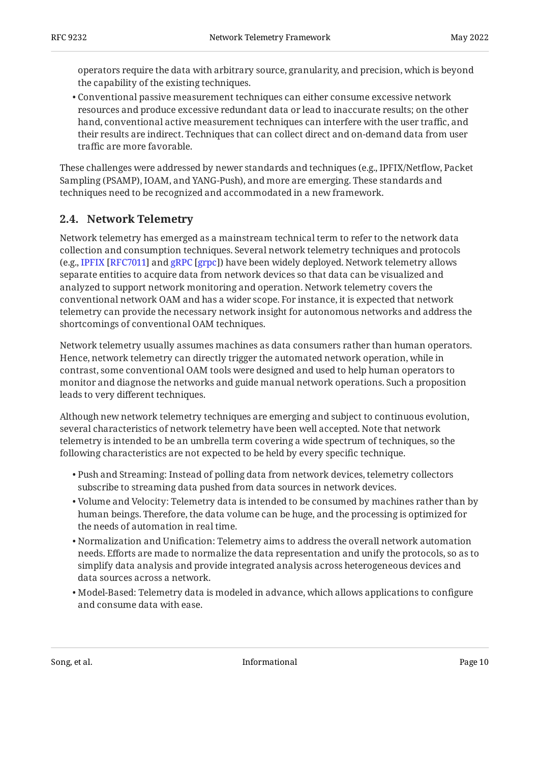operators require the data with arbitrary source, granularity, and precision, which is beyond the capability of the existing techniques.

Conventional passive measurement techniques can either consume excessive network • resources and produce excessive redundant data or lead to inaccurate results; on the other hand, conventional active measurement techniques can interfere with the user traffic, and their results are indirect. Techniques that can collect direct and on-demand data from user traffic are more favorable.

These challenges were addressed by newer standards and techniques (e.g., IPFIX/Netflow, Packet Sampling (PSAMP), IOAM, and YANG-Push), and more are emerging. These standards and techniques need to be recognized and accommodated in a new framework.

## <span id="page-9-0"></span>**[2.4. Network Telemetry](#page-9-0)**

Network telemetry has emerged as a mainstream technical term to refer to the network data collection and consumption techniques. Several network telemetry techniques and protocols (e.g.,IPFIX [RFC7011] and gRPC [grpc]) have been widely deployed. Network telemetry allows separate entities to acquire data from network devices so that data can be visualized and analyzed to support network monitoring and operation. Network telemetry covers the conventional network OAM and has a wider scope. For instance, it is expected that network telemetry can provide the necessary network insight for autonomous networks and address the shortcomings of conventional OAM techniques.

Network telemetry usually assumes machines as data consumers rather than human operators. Hence, network telemetry can directly trigger the automated network operation, while in contrast, some conventional OAM tools were designed and used to help human operators to monitor and diagnose the networks and guide manual network operations. Such a proposition leads to very different techniques.

Although new network telemetry techniques are emerging and subject to continuous evolution, several characteristics of network telemetry have been well accepted. Note that network telemetry is intended to be an umbrella term covering a wide spectrum of techniques, so the following characteristics are not expected to be held by every specific technique.

- $\bullet$  Push and Streaming: Instead of polling data from network devices, telemetry collectors subscribe to streaming data pushed from data sources in network devices.
- $\bullet$  Volume and Velocity: Telemetry data is intended to be consumed by machines rather than by human beings. Therefore, the data volume can be huge, and the processing is optimized for the needs of automation in real time.
- $\bullet$  Normalization and Unification: Telemetry aims to address the overall network automation needs. Efforts are made to normalize the data representation and unify the protocols, so as to simplify data analysis and provide integrated analysis across heterogeneous devices and data sources across a network.
- Model-Based: Telemetry data is modeled in advance, which allows applications to configure and consume data with ease.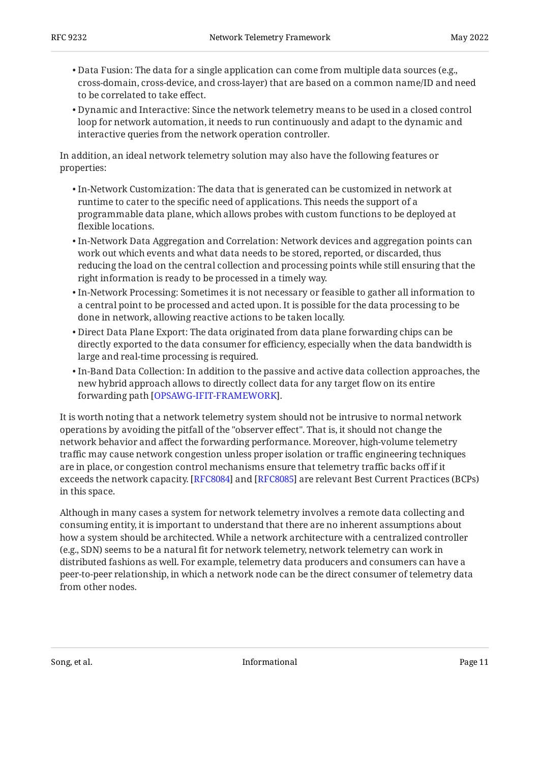- Data Fusion: The data for a single application can come from multiple data sources (e.g., cross-domain, cross-device, and cross-layer) that are based on a common name/ID and need to be correlated to take effect.
- $\bullet$  Dynamic and Interactive: Since the network telemetry means to be used in a closed control loop for network automation, it needs to run continuously and adapt to the dynamic and interactive queries from the network operation controller.

In addition, an ideal network telemetry solution may also have the following features or properties:

- $\bullet$  In-Network Customization: The data that is generated can be customized in network at runtime to cater to the specific need of applications. This needs the support of a programmable data plane, which allows probes with custom functions to be deployed at flexible locations.
- $\bullet$  In-Network Data Aggregation and Correlation: Network devices and aggregation points can work out which events and what data needs to be stored, reported, or discarded, thus reducing the load on the central collection and processing points while still ensuring that the right information is ready to be processed in a timely way.
- $\bullet$  In-Network Processing: Sometimes it is not necessary or feasible to gather all information to a central point to be processed and acted upon. It is possible for the data processing to be done in network, allowing reactive actions to be taken locally.
- Direct Data Plane Export: The data originated from data plane forwarding chips can be directly exported to the data consumer for efficiency, especially when the data bandwidth is large and real-time processing is required.
- $\bullet$  In-Band Data Collection: In addition to the passive and active data collection approaches, the new hybrid approach allows to directly collect data for any target flow on its entire forwarding path [[OPSAWG-IFIT-FRAMEWORK\]](#page-24-9).

It is worth noting that a network telemetry system should not be intrusive to normal network operations by avoiding the pitfall of the "observer effect". That is, it should not change the network behavior and affect the forwarding performance. Moreover, high-volume telemetry traffic may cause network congestion unless proper isolation or traffic engineering techniques are in place, or congestion control mechanisms ensure that telemetry traffic backs off if it exceeds the network capacity. [RFC8084] and [RFC8085] are relevant Best Current Practices (BCPs) in this space.

Although in many cases a system for network telemetry involves a remote data collecting and consuming entity, it is important to understand that there are no inherent assumptions about how a system should be architected. While a network architecture with a centralized controller (e.g., SDN) seems to be a natural fit for network telemetry, network telemetry can work in distributed fashions as well. For example, telemetry data producers and consumers can have a peer-to-peer relationship, in which a network node can be the direct consumer of telemetry data from other nodes.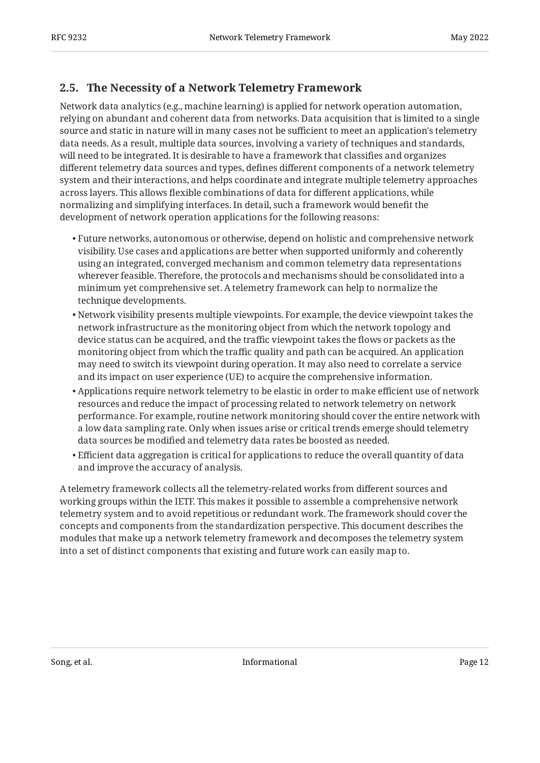## <span id="page-11-0"></span>**[2.5. The Necessity of a Network Telemetry Framework](#page-11-0)**

Network data analytics (e.g., machine learning) is applied for network operation automation, relying on abundant and coherent data from networks. Data acquisition that is limited to a single source and static in nature will in many cases not be sufficient to meet an application's telemetry data needs. As a result, multiple data sources, involving a variety of techniques and standards, will need to be integrated. It is desirable to have a framework that classifies and organizes different telemetry data sources and types, defines different components of a network telemetry system and their interactions, and helps coordinate and integrate multiple telemetry approaches across layers. This allows flexible combinations of data for different applications, while normalizing and simplifying interfaces. In detail, such a framework would benefit the development of network operation applications for the following reasons:

- Future networks, autonomous or otherwise, depend on holistic and comprehensive network visibility. Use cases and applications are better when supported uniformly and coherently using an integrated, converged mechanism and common telemetry data representations wherever feasible. Therefore, the protocols and mechanisms should be consolidated into a minimum yet comprehensive set. A telemetry framework can help to normalize the technique developments.
- $\bullet$  Network visibility presents multiple viewpoints. For example, the device viewpoint takes the network infrastructure as the monitoring object from which the network topology and device status can be acquired, and the traffic viewpoint takes the flows or packets as the monitoring object from which the traffic quality and path can be acquired. An application may need to switch its viewpoint during operation. It may also need to correlate a service and its impact on user experience (UE) to acquire the comprehensive information.
- $\bullet$  Applications require network telemetry to be elastic in order to make efficient use of network resources and reduce the impact of processing related to network telemetry on network performance. For example, routine network monitoring should cover the entire network with a low data sampling rate. Only when issues arise or critical trends emerge should telemetry data sources be modified and telemetry data rates be boosted as needed.
- $\bullet$  Efficient data aggregation is critical for applications to reduce the overall quantity of data and improve the accuracy of analysis.

A telemetry framework collects all the telemetry-related works from different sources and working groups within the IETF. This makes it possible to assemble a comprehensive network telemetry system and to avoid repetitious or redundant work. The framework should cover the concepts and components from the standardization perspective. This document describes the modules that make up a network telemetry framework and decomposes the telemetry system into a set of distinct components that existing and future work can easily map to.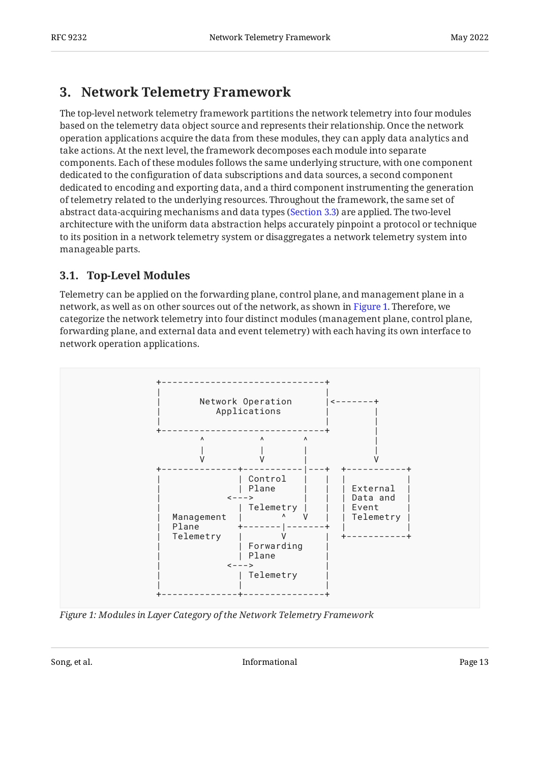## <span id="page-12-0"></span>**[3. Network Telemetry Framework](#page-12-0)**

The top-level network telemetry framework partitions the network telemetry into four modules based on the telemetry data object source and represents their relationship. Once the network operation applications acquire the data from these modules, they can apply data analytics and take actions. At the next level, the framework decomposes each module into separate components. Each of these modules follows the same underlying structure, with one component dedicated to the configuration of data subscriptions and data sources, a second component dedicated to encoding and exporting data, and a third component instrumenting the generation of telemetry related to the underlying resources. Throughout the framework, the same set of abstract data-acquiring mechanisms and data types ([Section 3.3](#page-19-0)) are applied. The two-level architecture with the uniform data abstraction helps accurately pinpoint a protocol or technique to its position in a network telemetry system or disaggregates a network telemetry system into manageable parts.

## <span id="page-12-1"></span>**[3.1. Top-Level Modules](#page-12-1)**

Telemetry can be applied on the forwarding plane, control plane, and management plane in a network, as well as on other sources out of the network, as shown in [Figure 1.](#page-12-2) Therefore, we categorize the network telemetry into four distinct modules (management plane, control plane, forwarding plane, and external data and event telemetry) with each having its own interface to network operation applications.

<span id="page-12-2"></span>

*[Figure 1: Modules in Layer Category of the Network Telemetry Framework](#page-12-2)*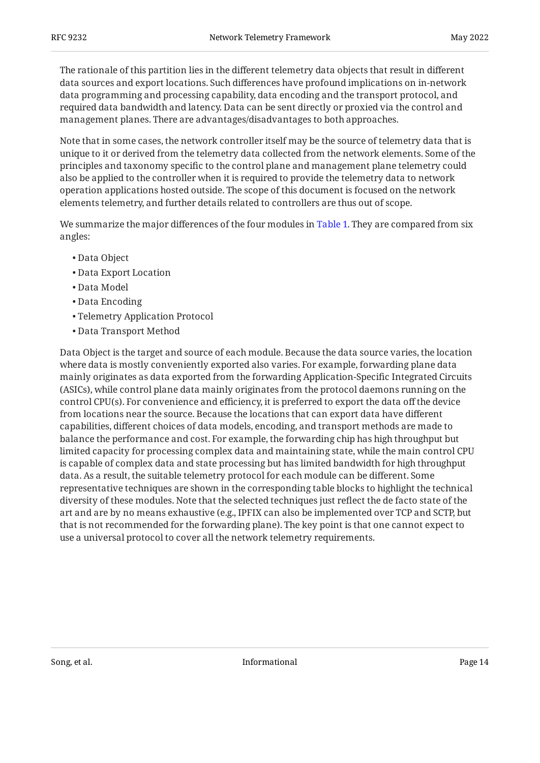The rationale of this partition lies in the different telemetry data objects that result in different data sources and export locations. Such differences have profound implications on in-network data programming and processing capability, data encoding and the transport protocol, and required data bandwidth and latency. Data can be sent directly or proxied via the control and management planes. There are advantages/disadvantages to both approaches.

Note that in some cases, the network controller itself may be the source of telemetry data that is unique to it or derived from the telemetry data collected from the network elements. Some of the principles and taxonomy specific to the control plane and management plane telemetry could also be applied to the controller when it is required to provide the telemetry data to network operation applications hosted outside. The scope of this document is focused on the network elements telemetry, and further details related to controllers are thus out of scope.

We summarize the major differences of the four modules in [Table 1](#page-14-0). They are compared from six angles:

- Data Object •
- Data Export Location •
- Data Model •
- Data Encoding •
- Telemetry Application Protocol •
- Data Transport Method •

<span id="page-13-0"></span>Data Object is the target and source of each module. Because the data source varies, the location where data is mostly conveniently exported also varies. For example, forwarding plane data mainly originates as data exported from the forwarding Application-Specific Integrated Circuits (ASICs), while control plane data mainly originates from the protocol daemons running on the control CPU(s). For convenience and efficiency, it is preferred to export the data off the device from locations near the source. Because the locations that can export data have different capabilities, different choices of data models, encoding, and transport methods are made to balance the performance and cost. For example, the forwarding chip has high throughput but limited capacity for processing complex data and maintaining state, while the main control CPU is capable of complex data and state processing but has limited bandwidth for high throughput data. As a result, the suitable telemetry protocol for each module can be different. Some representative techniques are shown in the corresponding table blocks to highlight the technical diversity of these modules. Note that the selected techniques just reflect the de facto state of the art and are by no means exhaustive (e.g., IPFIX can also be implemented over TCP and SCTP, but that is not recommended for the forwarding plane). The key point is that one cannot expect to use a universal protocol to cover all the network telemetry requirements.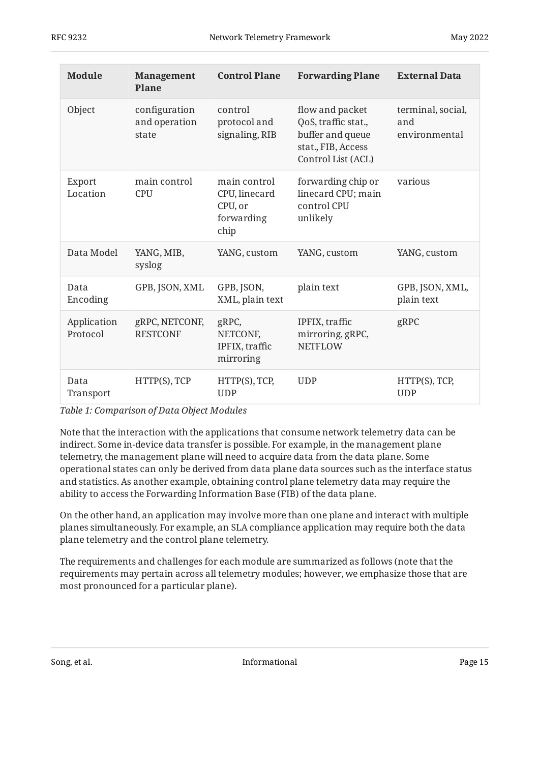<span id="page-14-0"></span>

| <b>Module</b>           | <b>Management</b><br><b>Plane</b>       | <b>Control Plane</b>                                           | <b>Forwarding Plane</b>                                                                                | <b>External Data</b>                      |
|-------------------------|-----------------------------------------|----------------------------------------------------------------|--------------------------------------------------------------------------------------------------------|-------------------------------------------|
| Object                  | configuration<br>and operation<br>state | control<br>protocol and<br>signaling, RIB                      | flow and packet<br>QoS, traffic stat.,<br>buffer and queue<br>stat., FIB, Access<br>Control List (ACL) | terminal, social,<br>and<br>environmental |
| Export<br>Location      | main control<br><b>CPU</b>              | main control<br>CPU, linecard<br>CPU, or<br>forwarding<br>chip | forwarding chip or<br>linecard CPU; main<br>control CPU<br>unlikely                                    | various                                   |
| Data Model              | YANG, MIB,<br>syslog                    | YANG, custom                                                   | YANG, custom                                                                                           | YANG, custom                              |
| Data<br>Encoding        | GPB, JSON, XML                          | GPB, JSON,<br>XML, plain text                                  | plain text                                                                                             | GPB, JSON, XML,<br>plain text             |
| Application<br>Protocol | gRPC, NETCONF,<br><b>RESTCONF</b>       | gRPC,<br>NETCONF,<br>IPFIX, traffic<br>mirroring               | IPFIX, traffic<br>mirroring, gRPC,<br><b>NETFLOW</b>                                                   | gRPC                                      |
| Data<br>Transport       | HTTP(S), TCP                            | HTTP(S), TCP,<br><b>UDP</b>                                    | <b>UDP</b>                                                                                             | HTTP(S), TCP,<br><b>UDP</b>               |

*[Table 1:](#page-14-0) [Comparison of Data Object Modules](#page-13-0)* 

Note that the interaction with the applications that consume network telemetry data can be indirect. Some in-device data transfer is possible. For example, in the management plane telemetry, the management plane will need to acquire data from the data plane. Some operational states can only be derived from data plane data sources such as the interface status and statistics. As another example, obtaining control plane telemetry data may require the ability to access the Forwarding Information Base (FIB) of the data plane.

On the other hand, an application may involve more than one plane and interact with multiple planes simultaneously. For example, an SLA compliance application may require both the data plane telemetry and the control plane telemetry.

The requirements and challenges for each module are summarized as follows (note that the requirements may pertain across all telemetry modules; however, we emphasize those that are most pronounced for a particular plane).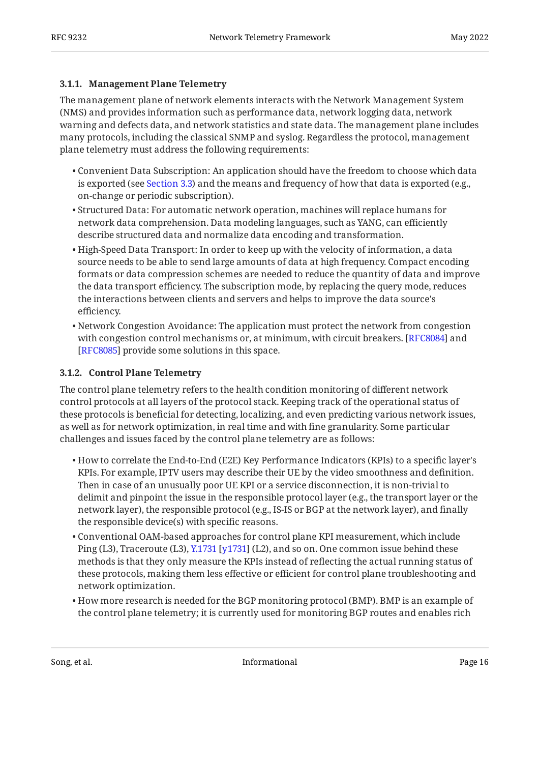#### <span id="page-15-0"></span>**[3.1.1. Management Plane Telemetry](#page-15-0)**

The management plane of network elements interacts with the Network Management System (NMS) and provides information such as performance data, network logging data, network warning and defects data, and network statistics and state data. The management plane includes many protocols, including the classical SNMP and syslog. Regardless the protocol, management plane telemetry must address the following requirements:

- $\bullet$  Convenient Data Subscription: An application should have the freedom to choose which data is exported (see [Section 3.3\)](#page-19-0) and the means and frequency of how that data is exported (e.g., on-change or periodic subscription).
- $\bullet$  Structured Data: For automatic network operation, machines will replace humans for network data comprehension. Data modeling languages, such as YANG, can efficiently describe structured data and normalize data encoding and transformation.
- $\bullet$  High-Speed Data Transport: In order to keep up with the velocity of information, a data source needs to be able to send large amounts of data at high frequency. Compact encoding formats or data compression schemes are needed to reduce the quantity of data and improve the data transport efficiency. The subscription mode, by replacing the query mode, reduces the interactions between clients and servers and helps to improve the data source's efficiency.
- $\bullet$  Network Congestion Avoidance: The application must protect the network from congestion with congestion control mechanisms or, at minimum, with circuit breakers. [\[RFC8084](#page-26-8)] and [[RFC8085\]](#page-26-9) provide some solutions in this space.

### <span id="page-15-1"></span>**[3.1.2. Control Plane Telemetry](#page-15-1)**

The control plane telemetry refers to the health condition monitoring of different network control protocols at all layers of the protocol stack. Keeping track of the operational status of these protocols is beneficial for detecting, localizing, and even predicting various network issues, as well as for network optimization, in real time and with fine granularity. Some particular challenges and issues faced by the control plane telemetry are as follows:

- $\bullet$  How to correlate the End-to-End (E2E) Key Performance Indicators (KPIs) to a specific layer's KPIs. For example, IPTV users may describe their UE by the video smoothness and definition. Then in case of an unusually poor UE KPI or a service disconnection, it is non-trivial to delimit and pinpoint the issue in the responsible protocol layer (e.g., the transport layer or the network layer), the responsible protocol (e.g., IS-IS or BGP at the network layer), and finally the responsible device(s) with specific reasons.
- Conventional OAM-based approaches for control plane KPI measurement, which include Ping(L3), Traceroute (L3), Y.1731 [y1731] (L2), and so on. One common issue behind these methods is that they only measure the KPIs instead of reflecting the actual running status of these protocols, making them less effective or efficient for control plane troubleshooting and network optimization.
- $\bullet$  How more research is needed for the BGP monitoring protocol (BMP). BMP is an example of the control plane telemetry; it is currently used for monitoring BGP routes and enables rich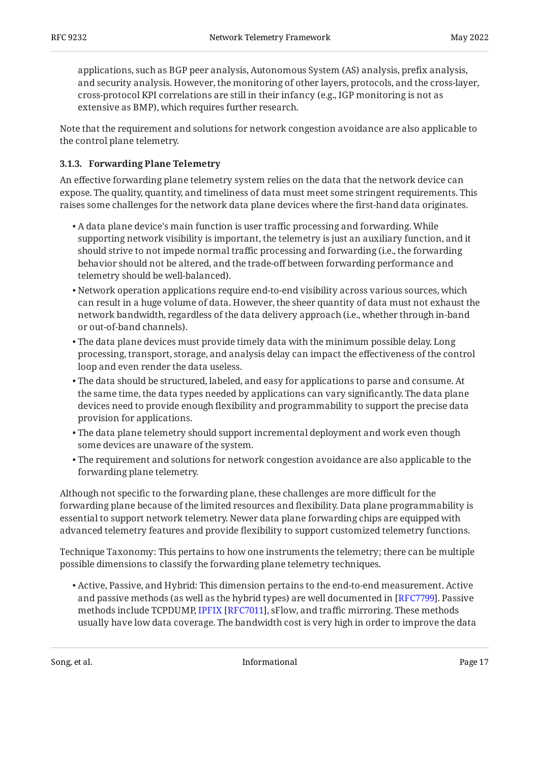applications, such as BGP peer analysis, Autonomous System (AS) analysis, prefix analysis, and security analysis. However, the monitoring of other layers, protocols, and the cross-layer, cross-protocol KPI correlations are still in their infancy (e.g., IGP monitoring is not as extensive as BMP), which requires further research.

Note that the requirement and solutions for network congestion avoidance are also applicable to the control plane telemetry.

### <span id="page-16-0"></span>**[3.1.3. Forwarding Plane Telemetry](#page-16-0)**

An effective forwarding plane telemetry system relies on the data that the network device can expose. The quality, quantity, and timeliness of data must meet some stringent requirements. This raises some challenges for the network data plane devices where the first-hand data originates.

- $\bullet$  A data plane device's main function is user traffic processing and forwarding. While supporting network visibility is important, the telemetry is just an auxiliary function, and it should strive to not impede normal traffic processing and forwarding (i.e., the forwarding behavior should not be altered, and the trade-off between forwarding performance and telemetry should be well-balanced).
- Network operation applications require end-to-end visibility across various sources, which can result in a huge volume of data. However, the sheer quantity of data must not exhaust the network bandwidth, regardless of the data delivery approach (i.e., whether through in-band or out-of-band channels).
- The data plane devices must provide timely data with the minimum possible delay. Long processing, transport, storage, and analysis delay can impact the effectiveness of the control loop and even render the data useless.
- The data should be structured, labeled, and easy for applications to parse and consume. At the same time, the data types needed by applications can vary significantly. The data plane devices need to provide enough flexibility and programmability to support the precise data provision for applications.
- The data plane telemetry should support incremental deployment and work even though some devices are unaware of the system.
- $\bullet$  The requirement and solutions for network congestion avoidance are also applicable to the forwarding plane telemetry.

Although not specific to the forwarding plane, these challenges are more difficult for the forwarding plane because of the limited resources and flexibility. Data plane programmability is essential to support network telemetry. Newer data plane forwarding chips are equipped with advanced telemetry features and provide flexibility to support customized telemetry functions.

Technique Taxonomy: This pertains to how one instruments the telemetry; there can be multiple possible dimensions to classify the forwarding plane telemetry techniques.

Active, Passive, and Hybrid: This dimension pertains to the end-to-end measurement. Active • and passive methods (as well as the hybrid types) are well documented in [\[RFC7799\]](#page-26-7). Passive methodsinclude TCPDUMP, IPFIX [RFC7011], sFlow, and traffic mirroring. These methods usually have low data coverage. The bandwidth cost is very high in order to improve the data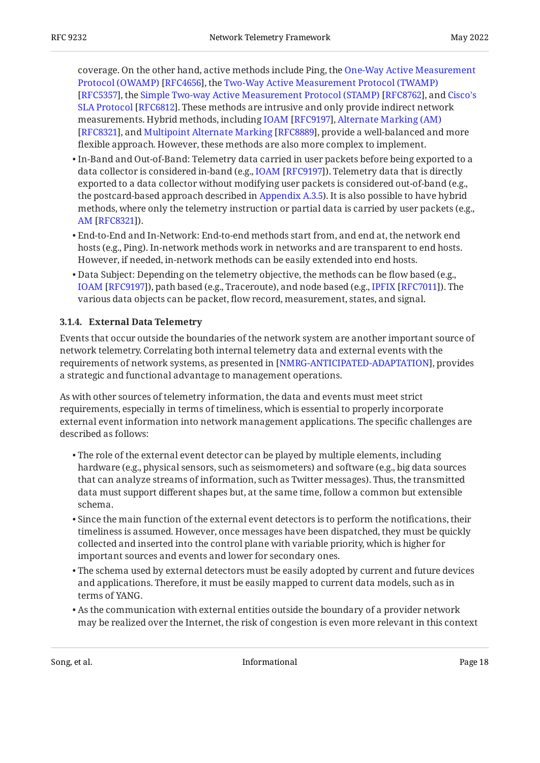coverage. On the other hand, active methods include Ping, the [One-Way Active Measurement](#page-25-8) [Protocol \(OWAMP\)](#page-25-8) [[RFC4656\]](#page-25-8), the [Two-Way Active Measurement Protocol \(TWAMP\)](#page-25-9) [RFC5357],the Simple Two-way Active Measurement Protocol (STAMP) [RFC8762], and [Cisco's](#page-25-10) [SLA Protocol](#page-25-10) [[RFC6812\]](#page-25-10). These methods are intrusive and only provide indirect network measurements.Hybrid methods, including IOAM [RFC9197], [Alternate Marking \(AM\)](#page-26-0) [RFC8321],and Multipoint Alternate Marking [RFC8889], provide a well-balanced and more flexible approach. However, these methods are also more complex to implement.

- In-Band and Out-of-Band: Telemetry data carried in user packets before being exported to a datacollector is considered in-band (e.g., IOAM [RFC9197]). Telemetry data that is directly exported to a data collector without modifying user packets is considered out-of-band (e.g., the postcard-based approach described in [Appendix A.3.5\)](#page-30-2). It is also possible to have hybrid methods, where only the telemetry instruction or partial data is carried by user packets (e.g., ). [AM](#page-26-0) [\[RFC8321](#page-26-0)]
- End-to-End and In-Network: End-to-end methods start from, and end at, the network end hosts (e.g., Ping). In-network methods work in networks and are transparent to end hosts. However, if needed, in-network methods can be easily extended into end hosts.
- Data Subject: Depending on the telemetry objective, the methods can be flow based (e.g., IOAM[[RFC9197\]](#page-27-3)), path based (e.g., Traceroute), and node based (e.g., IPFIX [RFC7011]). The various data objects can be packet, flow record, measurement, states, and signal.

#### <span id="page-17-0"></span>**[3.1.4. External Data Telemetry](#page-17-0)**

Events that occur outside the boundaries of the network system are another important source of network telemetry. Correlating both internal telemetry data and external events with the requirements of network systems, as presented in [NMRG-ANTICIPATED-ADAPTATION], provides a strategic and functional advantage to management operations.

As with other sources of telemetry information, the data and events must meet strict requirements, especially in terms of timeliness, which is essential to properly incorporate external event information into network management applications. The specific challenges are described as follows:

- The role of the external event detector can be played by multiple elements, including hardware (e.g., physical sensors, such as seismometers) and software (e.g., big data sources that can analyze streams of information, such as Twitter messages). Thus, the transmitted data must support different shapes but, at the same time, follow a common but extensible schema.
- $\bullet$  Since the main function of the external event detectors is to perform the notifications, their timeliness is assumed. However, once messages have been dispatched, they must be quickly collected and inserted into the control plane with variable priority, which is higher for important sources and events and lower for secondary ones.
- $\bullet$  The schema used by external detectors must be easily adopted by current and future devices and applications. Therefore, it must be easily mapped to current data models, such as in terms of YANG.
- $\bullet$  As the communication with external entities outside the boundary of a provider network may be realized over the Internet, the risk of congestion is even more relevant in this context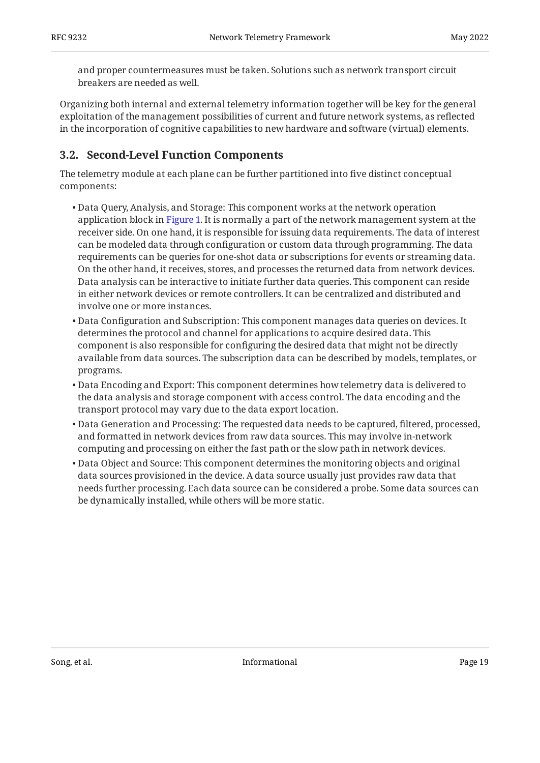and proper countermeasures must be taken. Solutions such as network transport circuit breakers are needed as well.

Organizing both internal and external telemetry information together will be key for the general exploitation of the management possibilities of current and future network systems, as reflected in the incorporation of cognitive capabilities to new hardware and software (virtual) elements.

### <span id="page-18-0"></span>**[3.2. Second-Level Function Components](#page-18-0)**

The telemetry module at each plane can be further partitioned into five distinct conceptual components:

- Data Query, Analysis, and Storage: This component works at the network operation application block in [Figure 1](#page-12-2). It is normally a part of the network management system at the receiver side. On one hand, it is responsible for issuing data requirements. The data of interest can be modeled data through configuration or custom data through programming. The data requirements can be queries for one-shot data or subscriptions for events or streaming data. On the other hand, it receives, stores, and processes the returned data from network devices. Data analysis can be interactive to initiate further data queries. This component can reside in either network devices or remote controllers. It can be centralized and distributed and involve one or more instances.
- Data Configuration and Subscription: This component manages data queries on devices. It determines the protocol and channel for applications to acquire desired data. This component is also responsible for configuring the desired data that might not be directly available from data sources. The subscription data can be described by models, templates, or programs.
- Data Encoding and Export: This component determines how telemetry data is delivered to the data analysis and storage component with access control. The data encoding and the transport protocol may vary due to the data export location.
- Data Generation and Processing: The requested data needs to be captured, filtered, processed, and formatted in network devices from raw data sources. This may involve in-network computing and processing on either the fast path or the slow path in network devices.
- <span id="page-18-1"></span>• Data Object and Source: This component determines the monitoring objects and original data sources provisioned in the device. A data source usually just provides raw data that needs further processing. Each data source can be considered a probe. Some data sources can be dynamically installed, while others will be more static.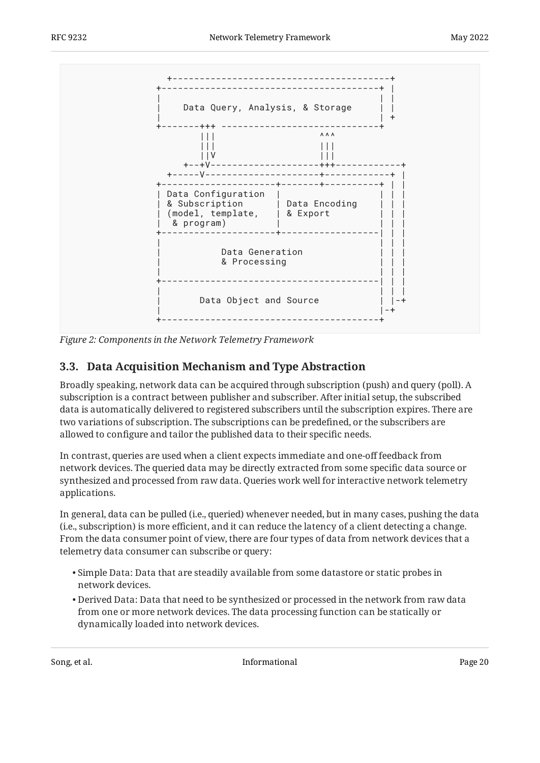<span id="page-19-1"></span>

<span id="page-19-0"></span>*[Figure 2:](#page-19-1) [Components in the Network Telemetry Framework](#page-18-1)* 

## **[3.3. Data Acquisition Mechanism and Type Abstraction](#page-19-0)**

Broadly speaking, network data can be acquired through subscription (push) and query (poll). A subscription is a contract between publisher and subscriber. After initial setup, the subscribed data is automatically delivered to registered subscribers until the subscription expires. There are two variations of subscription. The subscriptions can be predefined, or the subscribers are allowed to configure and tailor the published data to their specific needs.

In contrast, queries are used when a client expects immediate and one-off feedback from network devices. The queried data may be directly extracted from some specific data source or synthesized and processed from raw data. Queries work well for interactive network telemetry applications.

In general, data can be pulled (i.e., queried) whenever needed, but in many cases, pushing the data (i.e., subscription) is more efficient, and it can reduce the latency of a client detecting a change. From the data consumer point of view, there are four types of data from network devices that a telemetry data consumer can subscribe or query:

- $\bullet$  Simple Data: Data that are steadily available from some datastore or static probes in network devices.
- $\bullet$  Derived Data: Data that need to be synthesized or processed in the network from raw data from one or more network devices. The data processing function can be statically or dynamically loaded into network devices.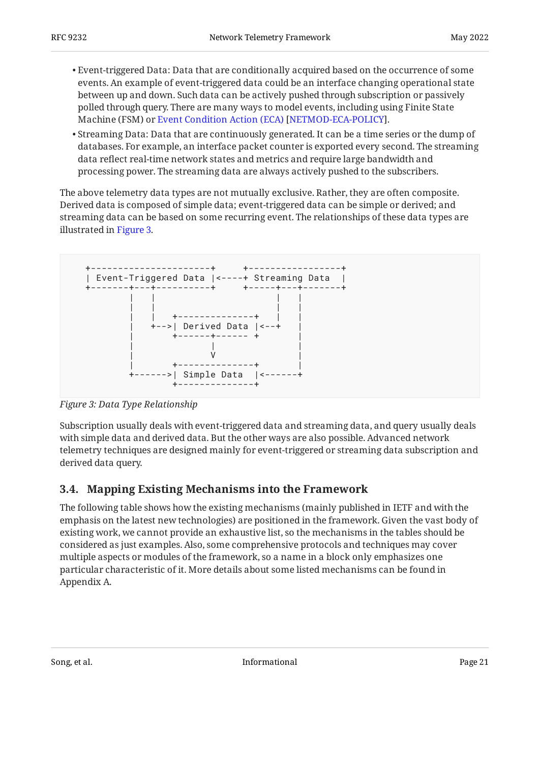- Event-triggered Data: Data that are conditionally acquired based on the occurrence of some events. An example of event-triggered data could be an interface changing operational state between up and down. Such data can be actively pushed through subscription or passively polled through query. There are many ways to model events, including using Finite State Machine(FSM) or Event Condition Action (ECA) [NETMOD-ECA-POLICY].
- $\bullet$  Streaming Data: Data that are continuously generated. It can be a time series or the dump of databases. For example, an interface packet counter is exported every second. The streaming data reflect real-time network states and metrics and require large bandwidth and processing power. The streaming data are always actively pushed to the subscribers.

The above telemetry data types are not mutually exclusive. Rather, they are often composite. Derived data is composed of simple data; event-triggered data can be simple or derived; and streaming data can be based on some recurring event. The relationships of these data types are illustrated in [Figure 3.](#page-20-1)

<span id="page-20-1"></span>

*[Figure 3: Data Type Relationship](#page-20-1)* 

Subscription usually deals with event-triggered data and streaming data, and query usually deals with simple data and derived data. But the other ways are also possible. Advanced network telemetry techniques are designed mainly for event-triggered or streaming data subscription and derived data query.

## <span id="page-20-0"></span>**[3.4. Mapping Existing Mechanisms into the Framework](#page-20-0)**

The following table shows how the existing mechanisms (mainly published in IETF and with the emphasis on the latest new technologies) are positioned in the framework. Given the vast body of existing work, we cannot provide an exhaustive list, so the mechanisms in the tables should be considered as just examples. Also, some comprehensive protocols and techniques may cover multiple aspects or modules of the framework, so a name in a block only emphasizes one particular characteristic of it. More details about some listed mechanisms can be found in Appendix A.

<span id="page-20-2"></span>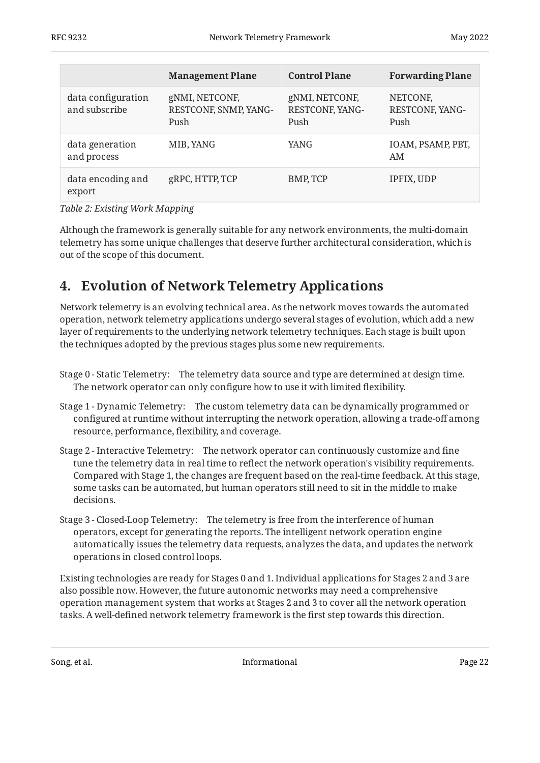<span id="page-21-1"></span>

|                                     | <b>Management Plane</b>                         | <b>Control Plane</b>                      | <b>Forwarding Plane</b>             |
|-------------------------------------|-------------------------------------------------|-------------------------------------------|-------------------------------------|
| data configuration<br>and subscribe | gNMI, NETCONF,<br>RESTCONF, SNMP, YANG-<br>Push | gNMI, NETCONF,<br>RESTCONF, YANG-<br>Push | NETCONF,<br>RESTCONF, YANG-<br>Push |
| data generation<br>and process      | MIB, YANG                                       | YANG                                      | IOAM, PSAMP, PBT,<br>AM             |
| data encoding and<br>export         | gRPC, HTTP, TCP                                 | <b>BMP, TCP</b>                           | IPFIX, UDP                          |

*[Table 2:](#page-21-1) [Existing Work Mapping](#page-20-2)* 

Although the framework is generally suitable for any network environments, the multi-domain telemetry has some unique challenges that deserve further architectural consideration, which is out of the scope of this document.

# <span id="page-21-0"></span>**[4. Evolution of Network Telemetry Applications](#page-21-0)**

Network telemetry is an evolving technical area. As the network moves towards the automated operation, network telemetry applications undergo several stages of evolution, which add a new layer of requirements to the underlying network telemetry techniques. Each stage is built upon the techniques adopted by the previous stages plus some new requirements.

- Stage 0 Static Telemetry: The telemetry data source and type are determined at design time. The network operator can only configure how to use it with limited flexibility.
- Stage 1 Dynamic Telemetry: The custom telemetry data can be dynamically programmed or configured at runtime without interrupting the network operation, allowing a trade-off among resource, performance, flexibility, and coverage.
- Stage 2 Interactive Telemetry: The network operator can continuously customize and fine tune the telemetry data in real time to reflect the network operation's visibility requirements. Compared with Stage 1, the changes are frequent based on the real-time feedback. At this stage, some tasks can be automated, but human operators still need to sit in the middle to make decisions.
- Stage 3 Closed-Loop Telemetry: The telemetry is free from the interference of human operators, except for generating the reports. The intelligent network operation engine automatically issues the telemetry data requests, analyzes the data, and updates the network operations in closed control loops.

Existing technologies are ready for Stages 0 and 1. Individual applications for Stages 2 and 3 are also possible now. However, the future autonomic networks may need a comprehensive operation management system that works at Stages 2 and 3 to cover all the network operation tasks. A well-defined network telemetry framework is the first step towards this direction.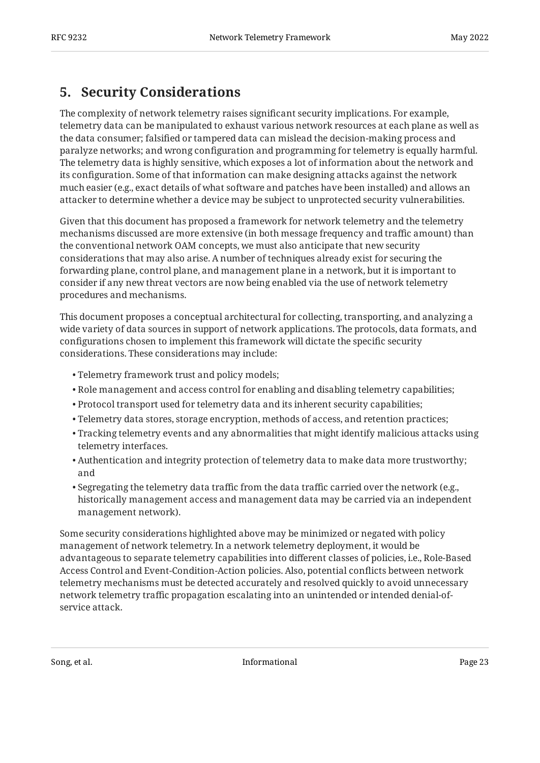## <span id="page-22-0"></span>**[5. Security Considerations](#page-22-0)**

The complexity of network telemetry raises significant security implications. For example, telemetry data can be manipulated to exhaust various network resources at each plane as well as the data consumer; falsified or tampered data can mislead the decision-making process and paralyze networks; and wrong configuration and programming for telemetry is equally harmful. The telemetry data is highly sensitive, which exposes a lot of information about the network and its configuration. Some of that information can make designing attacks against the network much easier (e.g., exact details of what software and patches have been installed) and allows an attacker to determine whether a device may be subject to unprotected security vulnerabilities.

Given that this document has proposed a framework for network telemetry and the telemetry mechanisms discussed are more extensive (in both message frequency and traffic amount) than the conventional network OAM concepts, we must also anticipate that new security considerations that may also arise. A number of techniques already exist for securing the forwarding plane, control plane, and management plane in a network, but it is important to consider if any new threat vectors are now being enabled via the use of network telemetry procedures and mechanisms.

This document proposes a conceptual architectural for collecting, transporting, and analyzing a wide variety of data sources in support of network applications. The protocols, data formats, and configurations chosen to implement this framework will dictate the specific security considerations. These considerations may include:

- Telemetry framework trust and policy models; •
- $\bullet$  Role management and access control for enabling and disabling telemetry capabilities;
- Protocol transport used for telemetry data and its inherent security capabilities; •
- Telemetry data stores, storage encryption, methods of access, and retention practices; •
- Tracking telemetry events and any abnormalities that might identify malicious attacks using telemetry interfaces.
- Authentication and integrity protection of telemetry data to make data more trustworthy; and
- $\bullet$  Segregating the telemetry data traffic from the data traffic carried over the network (e.g., historically management access and management data may be carried via an independent management network).

Some security considerations highlighted above may be minimized or negated with policy management of network telemetry. In a network telemetry deployment, it would be advantageous to separate telemetry capabilities into different classes of policies, i.e., Role-Based Access Control and Event-Condition-Action policies. Also, potential conflicts between network telemetry mechanisms must be detected accurately and resolved quickly to avoid unnecessary network telemetry traffic propagation escalating into an unintended or intended denial-ofservice attack.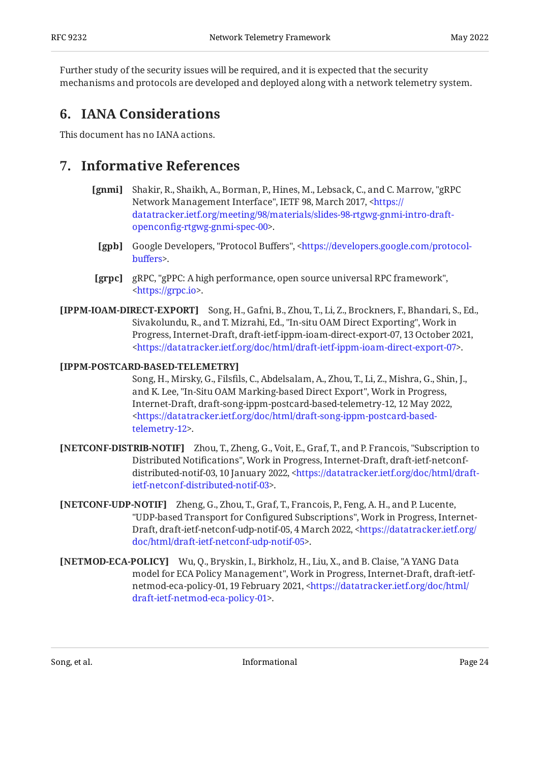Further study of the security issues will be required, and it is expected that the security mechanisms and protocols are developed and deployed along with a network telemetry system.

## <span id="page-23-0"></span>**[6. IANA Considerations](#page-23-0)**

<span id="page-23-1"></span>This document has no IANA actions.

## <span id="page-23-2"></span>**[7. Informative References](#page-23-1)**

- **[gnmi]** Shakir, R., Shaikh, A., Borman, P., Hines, M., Lebsack, C., and C. Marrow, "gRPC Network Management Interface", IETF 98, March 2017, [<https://](https://datatracker.ietf.org/meeting/98/materials/slides-98-rtgwg-gnmi-intro-draft-openconfig-rtgwg-gnmi-spec-00) . openconfi[g-rtgwg-gnmi-spec-00](https://datatracker.ietf.org/meeting/98/materials/slides-98-rtgwg-gnmi-intro-draft-openconfig-rtgwg-gnmi-spec-00)> [datatracker.ietf.org/meeting/98/materials/slides-98-rtgwg-gnmi-intro-draft-](https://datatracker.ietf.org/meeting/98/materials/slides-98-rtgwg-gnmi-intro-draft-openconfig-rtgwg-gnmi-spec-00)
- <span id="page-23-3"></span>**[gpb]** Google Developers, "Protocol Buffers", <[https://developers.google.com/protocol-](https://developers.google.com/protocol-buffers). buff[ers>](https://developers.google.com/protocol-buffers)
- **[grpc]** gRPC, "gPPC: A high performance, open source universal RPC framework", . [<https://grpc.io](https://grpc.io)>
- <span id="page-23-5"></span><span id="page-23-4"></span>**[IPPM-IOAM-DIRECT-EXPORT]** Song, H., Gafni, B., Zhou, T., Li, Z., Brockners, F., Bhandari, S., Ed., Sivakolundu, R., and T. Mizrahi, Ed., "In-situ OAM Direct Exporting", Work in Progress, Internet-Draft, draft-ietf-ippm-ioam-direct-export-07, 13 October 2021, . [<https://datatracker.ietf.org/doc/html/draft-ietf-ippm-ioam-direct-export-07>](https://datatracker.ietf.org/doc/html/draft-ietf-ippm-ioam-direct-export-07)

### <span id="page-23-9"></span>**[IPPM-POSTCARD-BASED-TELEMETRY]**

Song, H., Mirsky, G., Filsfils, C., Abdelsalam, A., Zhou, T., Li, Z., Mishra, G., Shin, J., and K. Lee, "In-Situ OAM Marking-based Direct Export", Work in Progress, Internet-Draft, draft-song-ippm-postcard-based-telemetry-12, 12 May 2022, . [telemetry-12>](https://datatracker.ietf.org/doc/html/draft-song-ippm-postcard-based-telemetry-12) [<https://datatracker.ietf.org/doc/html/draft-song-ippm-postcard-based-](https://datatracker.ietf.org/doc/html/draft-song-ippm-postcard-based-telemetry-12)

- <span id="page-23-7"></span>**[NETCONF-DISTRIB-NOTIF]** Zhou, T., Zheng, G., Voit, E., Graf, T., and P. Francois, "Subscription to Distributed Notifications", Work in Progress, Internet-Draft, draft-ietf-netconfdistributed-notif-03, 10 January 2022, <[https://datatracker.ietf.org/doc/html/draft-](https://datatracker.ietf.org/doc/html/draft-ietf-netconf-distributed-notif-03). [ietf-netconf-distributed-notif-03>](https://datatracker.ietf.org/doc/html/draft-ietf-netconf-distributed-notif-03)
- <span id="page-23-8"></span>**[NETCONF-UDP-NOTIF]** Zheng, G., Zhou, T., Graf, T., Francois, P., Feng, A. H., and P. Lucente, "UDP-based Transport for Configured Subscriptions", Work in Progress, Internet-Draft, draft-ietf-netconf-udp-notif-05, 4 March 2022, [<https://datatracker.ietf.org/](https://datatracker.ietf.org/doc/html/draft-ietf-netconf-udp-notif-05) . [doc/html/draft-ietf-netconf-udp-notif-05>](https://datatracker.ietf.org/doc/html/draft-ietf-netconf-udp-notif-05)
- <span id="page-23-6"></span>**[NETMOD-ECA-POLICY]** Wu, Q., Bryskin, I., Birkholz, H., Liu, X., and B. Claise, "A YANG Data model for ECA Policy Management", Work in Progress, Internet-Draft, draft-ietf-netmod-eca-policy-01, 19 February 2021, [<https://datatracker.ietf.org/doc/html/](https://datatracker.ietf.org/doc/html/draft-ietf-netmod-eca-policy-01) . [draft-ietf-netmod-eca-policy-01](https://datatracker.ietf.org/doc/html/draft-ietf-netmod-eca-policy-01)>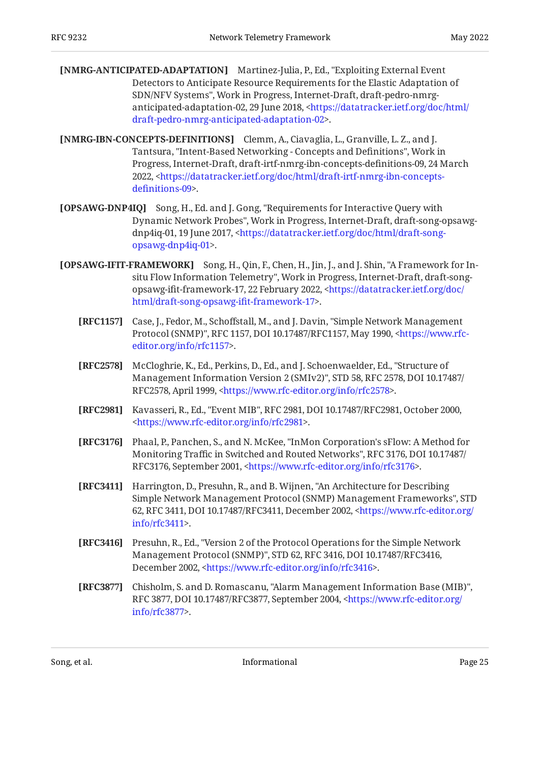- <span id="page-24-5"></span>[NMRG-ANTICIPATED-ADAPTATION] Martinez-Julia, P., Ed., "Exploiting External Event SDN/NFV Systems", Work in Progress, Internet-Draft, draft-pedro-nmrg-anticipated-adaptation-02, 29 June 2018, [<https://datatracker.ietf.org/doc/html/](https://datatracker.ietf.org/doc/html/draft-pedro-nmrg-anticipated-adaptation-02) . [draft-pedro-nmrg-anticipated-adaptation-02>](https://datatracker.ietf.org/doc/html/draft-pedro-nmrg-anticipated-adaptation-02) Detectors to Anticipate Resource Requirements for the Elastic Adaptation of
- <span id="page-24-4"></span>**[NMRG-IBN-CONCEPTS-DEFINITIONS]** Clemm, A., Ciavaglia, L., Granville, L. Z., and J. Tantsura, "Intent-Based Networking - Concepts and Definitions", Work in Progress, Internet-Draft, draft-irtf-nmrg-ibn-concepts-definitions-09, 24 March 2022, <[https://datatracker.ietf.org/doc/html/draft-irtf-nmrg-ibn-concepts-](https://datatracker.ietf.org/doc/html/draft-irtf-nmrg-ibn-concepts-definitions-09). defi[nitions-09](https://datatracker.ietf.org/doc/html/draft-irtf-nmrg-ibn-concepts-definitions-09)>
- <span id="page-24-10"></span>**[OPSAWG-DNP4IQ]** Song, H., Ed. and J. Gong, "Requirements for Interactive Query with Dynamic Network Probes", Work in Progress, Internet-Draft, draft-song-opsawg-dnp4iq-01, 19 June 2017, [<https://datatracker.ietf.org/doc/html/draft-song-](https://datatracker.ietf.org/doc/html/draft-song-opsawg-dnp4iq-01). [opsawg-dnp4iq-01](https://datatracker.ietf.org/doc/html/draft-song-opsawg-dnp4iq-01)>
- <span id="page-24-9"></span><span id="page-24-8"></span><span id="page-24-6"></span><span id="page-24-1"></span><span id="page-24-0"></span>**[OPSAWG-IFIT-FRAMEWORK]** Song, H., Qin, F., Chen, H., Jin, J., and J. Shin, "A Framework for Insitu Flow Information Telemetry", Work in Progress, Internet-Draft, draft-song-opsawg-ifit-framework-17, 22 February 2022, [<https://datatracker.ietf.org/doc/](https://datatracker.ietf.org/doc/html/draft-song-opsawg-ifit-framework-17) . [html/draft-song-opsawg-i](https://datatracker.ietf.org/doc/html/draft-song-opsawg-ifit-framework-17)fit-framework-17>
	- **[RFC1157]** Case, J., Fedor, M., Schoffstall, M., and J. Davin, "Simple Network Management Protocol (SNMP)", RFC 1157, DOI 10.17487/RFC1157, May 1990, <[https://www.rfc-](https://www.rfc-editor.org/info/rfc1157). [editor.org/info/rfc1157](https://www.rfc-editor.org/info/rfc1157)>
	- **[RFC2578]** McCloghrie, K., Ed., Perkins, D., Ed., and J. Schoenwaelder, Ed., "Structure of Management Information Version 2 (SMIv2)", STD 58, RFC 2578, DOI 10.17487/ RFC2578, April 1999, <https://www.rfc-editor.org/info/rfc2578>.
	- **[RFC2981]** Kavasseri, R., Ed., "Event MIB", RFC 2981, DOI 10.17487/RFC2981, October 2000, . [<https://www.rfc-editor.org/info/rfc2981](https://www.rfc-editor.org/info/rfc2981)>
	- **[RFC3176]** Phaal, P., Panchen, S., and N. McKee, "InMon Corporation's sFlow: A Method for Monitoring Traffic in Switched and Routed Networks", RFC 3176, DOI 10.17487/ RFC3176, September 2001, [<https://www.rfc-editor.org/info/rfc3176](https://www.rfc-editor.org/info/rfc3176)>.
	- **[RFC3411]** Harrington, D., Presuhn, R., and B. Wijnen, "An Architecture for Describing , Simple Network Management Protocol (SNMP) Management Frameworks" STD 62, RFC 3411, DOI 10.17487/RFC3411, December 2002, [<https://www.rfc-editor.org/](https://www.rfc-editor.org/info/rfc3411) . [info/rfc3411>](https://www.rfc-editor.org/info/rfc3411)
	- **[RFC3416]** Presuhn, R., Ed., "Version 2 of the Protocol Operations for the Simple Network Management Protocol (SNMP)", STD 62, RFC 3416, DOI 10.17487/RFC3416, December 2002, <https://www.rfc-editor.org/info/rfc3416>.
	- **[RFC3877]** Chisholm, S. and D. Romascanu, "Alarm Management Information Base (MIB)", RFC 3877, DOI 10.17487/RFC3877, September 2004, [<https://www.rfc-editor.org/](https://www.rfc-editor.org/info/rfc3877) . [info/rfc3877>](https://www.rfc-editor.org/info/rfc3877)

<span id="page-24-7"></span><span id="page-24-3"></span><span id="page-24-2"></span>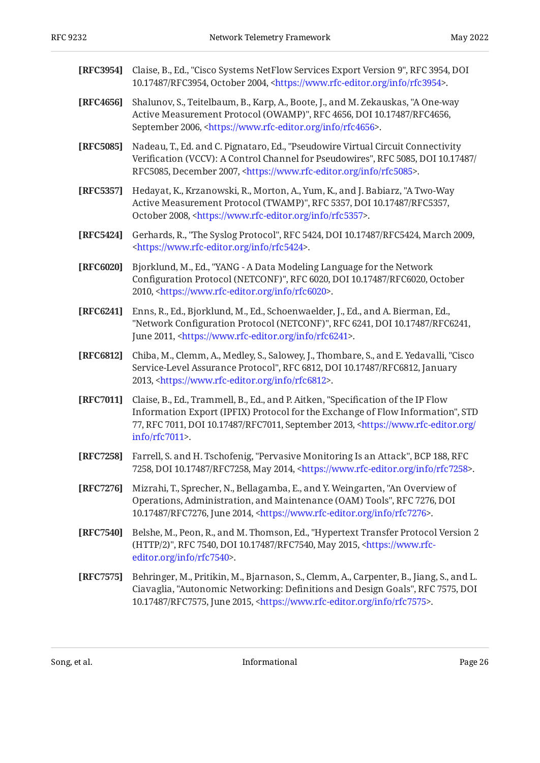<span id="page-25-12"></span><span id="page-25-10"></span><span id="page-25-9"></span><span id="page-25-8"></span><span id="page-25-6"></span><span id="page-25-4"></span><span id="page-25-3"></span><span id="page-25-2"></span>

| [RFC3954] | Claise, B., Ed., "Cisco Systems NetFlow Services Export Version 9", RFC 3954, DOI<br>10.17487/RFC3954, October 2004, <https: info="" rfc3954="" www.rfc-editor.org="">.</https:>                                                                                                          |
|-----------|-------------------------------------------------------------------------------------------------------------------------------------------------------------------------------------------------------------------------------------------------------------------------------------------|
| [RFC4656] | Shalunov, S., Teitelbaum, B., Karp, A., Boote, J., and M. Zekauskas, "A One-way<br>Active Measurement Protocol (OWAMP)", RFC 4656, DOI 10.17487/RFC4656,<br>September 2006, <https: info="" rfc4656="" www.rfc-editor.org="">.</https:>                                                   |
| [RFC5085] | Nadeau, T., Ed. and C. Pignataro, Ed., "Pseudowire Virtual Circuit Connectivity<br>Verification (VCCV): A Control Channel for Pseudowires", RFC 5085, DOI 10.17487/<br>RFC5085, December 2007, <https: info="" rfc5085="" www.rfc-editor.org="">.</https:>                                |
| [RFC5357] | Hedayat, K., Krzanowski, R., Morton, A., Yum, K., and J. Babiarz, "A Two-Way<br>Active Measurement Protocol (TWAMP)", RFC 5357, DOI 10.17487/RFC5357,<br>October 2008, <https: info="" rfc5357="" www.rfc-editor.org="">.</https:>                                                        |
| [RFC5424] | Gerhards, R., "The Syslog Protocol", RFC 5424, DOI 10.17487/RFC5424, March 2009,<br><https: info="" rfc5424="" www.rfc-editor.org="">.</https:>                                                                                                                                           |
| [RFC6020] | Bjorklund, M., Ed., "YANG - A Data Modeling Language for the Network<br>Configuration Protocol (NETCONF)", RFC 6020, DOI 10.17487/RFC6020, October<br>2010, <https: info="" rfc6020="" www.rfc-editor.org="">.</https:>                                                                   |
| [RFC6241] | Enns, R., Ed., Bjorklund, M., Ed., Schoenwaelder, J., Ed., and A. Bierman, Ed.,<br>"Network Configuration Protocol (NETCONF)", RFC 6241, DOI 10.17487/RFC6241,<br>June 2011, <https: info="" rfc6241="" www.rfc-editor.org="">.</https:>                                                  |
| [RFC6812] | Chiba, M., Clemm, A., Medley, S., Salowey, J., Thombare, S., and E. Yedavalli, "Cisco<br>Service-Level Assurance Protocol", RFC 6812, DOI 10.17487/RFC6812, January<br>2013, <https: info="" rfc6812="" www.rfc-editor.org="">.</https:>                                                  |
| [RFC7011] | Claise, B., Ed., Trammell, B., Ed., and P. Aitken, "Specification of the IP Flow<br>Information Export (IPFIX) Protocol for the Exchange of Flow Information", STD<br>77, RFC 7011, DOI 10.17487/RFC7011, September 2013, <https: <br="" www.rfc-editor.org="">info/rfc7011&gt;.</https:> |
| [RFC7258] | Farrell, S. and H. Tschofenig, "Pervasive Monitoring Is an Attack", BCP 188, RFC<br>7258, DOI 10.17487/RFC7258, May 2014, <https: info="" rfc7258="" www.rfc-editor.org="">.</https:>                                                                                                     |
| [RFC7276] | Mizrahi, T., Sprecher, N., Bellagamba, E., and Y. Weingarten, "An Overview of<br>Operations, Administration, and Maintenance (OAM) Tools", RFC 7276, DOI<br>10.17487/RFC7276, June 2014, <https: info="" rfc7276="" www.rfc-editor.org="">.</https:>                                      |
| [RFC7540] | Belshe, M., Peon, R., and M. Thomson, Ed., "Hypertext Transfer Protocol Version 2<br>(HTTP/2)", RFC 7540, DOI 10.17487/RFC7540, May 2015, <https: www.rfc-<br="">editor.org/info/rfc7540&gt;.</https:>                                                                                    |
| [RFC7575] | Behringer, M., Pritikin, M., Bjarnason, S., Clemm, A., Carpenter, B., Jiang, S., and L.<br>Ciavaglia, "Autonomic Networking: Definitions and Design Goals", RFC 7575, DOI<br>10.17487/RFC7575, June 2015, <https: info="" rfc7575="" www.rfc-editor.org="">.</https:>                     |

<span id="page-25-11"></span><span id="page-25-7"></span><span id="page-25-5"></span><span id="page-25-1"></span><span id="page-25-0"></span>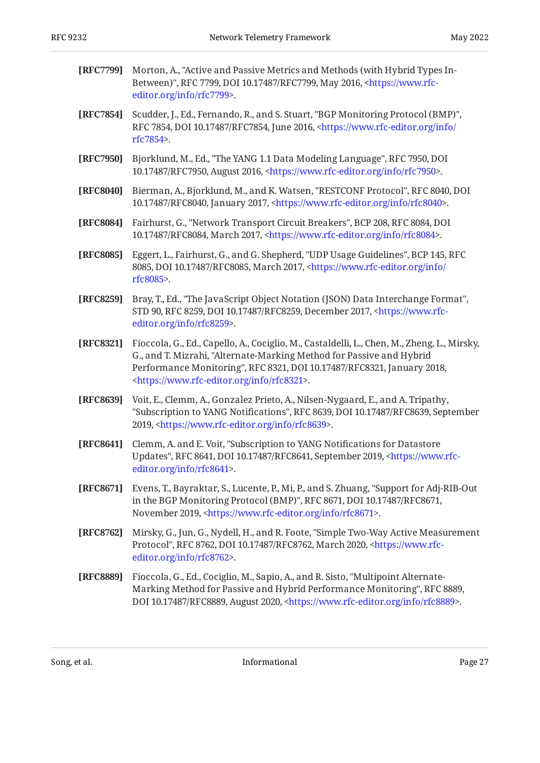<span id="page-26-9"></span><span id="page-26-8"></span><span id="page-26-7"></span><span id="page-26-4"></span><span id="page-26-3"></span><span id="page-26-2"></span><span id="page-26-1"></span><span id="page-26-0"></span>

| [RFC7799] | Morton, A., "Active and Passive Metrics and Methods (with Hybrid Types In-<br>Between)", RFC 7799, DOI 10.17487/RFC7799, May 2016, <https: www.rfc-<br="">editor.org/info/rfc7799&gt;.</https:>                                                                                                              |
|-----------|--------------------------------------------------------------------------------------------------------------------------------------------------------------------------------------------------------------------------------------------------------------------------------------------------------------|
| [RFC7854] | Scudder, J., Ed., Fernando, R., and S. Stuart, "BGP Monitoring Protocol (BMP)",<br>RFC 7854, DOI 10.17487/RFC7854, June 2016, <https: <br="" info="" www.rfc-editor.org="">rfc7854&gt;.</https:>                                                                                                             |
| [RFC7950] | Bjorklund, M., Ed., "The YANG 1.1 Data Modeling Language", RFC 7950, DOI<br>10.17487/RFC7950, August 2016, <https: info="" rfc7950="" www.rfc-editor.org="">.</https:>                                                                                                                                       |
| [RFC8040] | Bierman, A., Bjorklund, M., and K. Watsen, "RESTCONF Protocol", RFC 8040, DOI<br>10.17487/RFC8040, January 2017, <https: info="" rfc8040="" www.rfc-editor.org="">.</https:>                                                                                                                                 |
| [RFC8084] | Fairhurst, G., "Network Transport Circuit Breakers", BCP 208, RFC 8084, DOI<br>10.17487/RFC8084, March 2017, <https: info="" rfc8084="" www.rfc-editor.org="">.</https:>                                                                                                                                     |
| [RFC8085] | Eggert, L., Fairhurst, G., and G. Shepherd, "UDP Usage Guidelines", BCP 145, RFC<br>8085, DOI 10.17487/RFC8085, March 2017, <https: <br="" info="" www.rfc-editor.org="">rfc8085&gt;.</https:>                                                                                                               |
| [RFC8259] | Bray, T., Ed., "The JavaScript Object Notation (JSON) Data Interchange Format",<br>STD 90, RFC 8259, DOI 10.17487/RFC8259, December 2017, <https: www.rfc-<br="">editor.org/info/rfc8259&gt;.</https:>                                                                                                       |
| [RFC8321] | Fioccola, G., Ed., Capello, A., Cociglio, M., Castaldelli, L., Chen, M., Zheng, L., Mirsky,<br>G., and T. Mizrahi, "Alternate-Marking Method for Passive and Hybrid<br>Performance Monitoring", RFC 8321, DOI 10.17487/RFC8321, January 2018,<br><https: info="" rfc8321="" www.rfc-editor.org="">.</https:> |
| [RFC8639] | Voit, E., Clemm, A., Gonzalez Prieto, A., Nilsen-Nygaard, E., and A. Tripathy,<br>"Subscription to YANG Notifications", RFC 8639, DOI 10.17487/RFC8639, September<br>2019, <https: info="" rfc8639="" www.rfc-editor.org="">.</https:>                                                                       |
| [RFC8641] | Clemm, A. and E. Voit, "Subscription to YANG Notifications for Datastore<br>Updates", RFC 8641, DOI 10.17487/RFC8641, September 2019, <https: www.rfc-<br="">editor.org/info/rfc8641&gt;.</https:>                                                                                                           |
| [RFC8671] | Evens, T., Bayraktar, S., Lucente, P., Mi, P., and S. Zhuang, "Support for Adj-RIB-Out<br>in the BGP Monitoring Protocol (BMP)", RFC 8671, DOI 10.17487/RFC8671,<br>November 2019, <https: info="" rfc8671="" www.rfc-editor.org="">.</https:>                                                               |
| [RFC8762] | Mirsky, G., Jun, G., Nydell, H., and R. Foote, "Simple Two-Way Active Measurement<br>Protocol", RFC 8762, DOI 10.17487/RFC8762, March 2020, <https: www.rfc-<br="">editor.org/info/rfc8762&gt;.</https:>                                                                                                     |
| [RFC8889] | Fioccola, G., Ed., Cociglio, M., Sapio, A., and R. Sisto, "Multipoint Alternate-<br>Marking Method for Passive and Hybrid Performance Monitoring", RFC 8889,<br>DOI 10.17487/RFC8889, August 2020, <https: info="" rfc8889="" www.rfc-editor.org="">.</https:>                                               |
|           |                                                                                                                                                                                                                                                                                                              |

<span id="page-26-12"></span><span id="page-26-11"></span><span id="page-26-10"></span><span id="page-26-6"></span><span id="page-26-5"></span>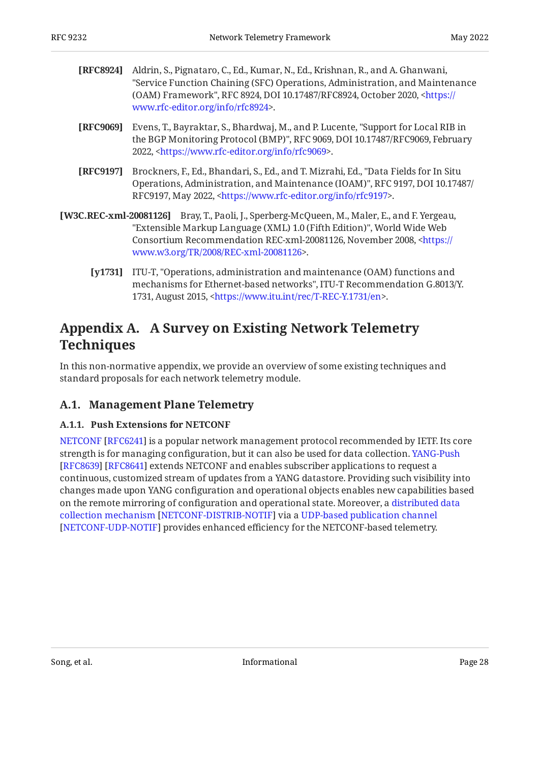<span id="page-27-7"></span>

| [RFC8924] Aldrin, S., Pignataro, C., Ed., Kumar, N., Ed., Krishnan, R., and A. Ghanwani,     |
|----------------------------------------------------------------------------------------------|
| "Service Function Chaining (SFC) Operations, Administration, and Maintenance                 |
| (OAM) Framework", RFC 8924, DOI 10.17487/RFC8924, October 2020, <https: <="" th=""></https:> |
| www.rfc-editor.org/info/rfc8924>.                                                            |

- <span id="page-27-6"></span>**[RFC9069]** Evens, T., Bayraktar, S., Bhardwaj, M., and P. Lucente, "Support for Local RIB in the BGP Monitoring Protocol (BMP)", RFC 9069, DOI 10.17487/RFC9069, February 2022, <https://www.rfc-editor.org/info/rfc9069>.
- <span id="page-27-3"></span>**[RFC9197]** Brockners, F., Ed., Bhandari, S., Ed., and T. Mizrahi, Ed., "Data Fields for In Situ Operations, Administration, and Maintenance (IOAM)", RFC 9197, DOI 10.17487/ RFC9197, May 2022, <https://www.rfc-editor.org/info/rfc9197>.
- <span id="page-27-4"></span>**[W3C.REC-xml-20081126]** Bray, T., Paoli, J., Sperberg-McQueen, M., Maler, E., and F. Yergeau, "Extensible Markup Language (XML) 1.0 (Fifth Edition)", World Wide Web Consortium Recommendation REC-xml-20081126, November 2008, [<https://](https://www.w3.org/TR/2008/REC-xml-20081126) . [www.w3.org/TR/2008/REC-xml-20081126>](https://www.w3.org/TR/2008/REC-xml-20081126)
	- **[y1731]** , ITU-T "Operations, administration and maintenance (OAM) functions and , mechanisms for Ethernet-based networks" ITU-T Recommendation G.8013/Y. 1731, August 2015, <[https://www.itu.int/rec/T-REC-Y.1731/en>](https://www.itu.int/rec/T-REC-Y.1731/en).

## <span id="page-27-5"></span><span id="page-27-0"></span>**[Appendix A. A Survey on Existing Network Telemetry](#page-27-0) [Techniques](#page-27-0)**

In this non-normative appendix, we provide an overview of some existing techniques and standard proposals for each network telemetry module.

## <span id="page-27-2"></span><span id="page-27-1"></span>**[A.1. Management Plane Telemetry](#page-27-1)**

### **[A.1.1. Push Extensions for NETCONF](#page-27-2)**

[NETCONF](#page-25-2) [\[RFC6241](#page-25-2)] is a popular network management protocol recommended by IETF. Its core strength is for managing configuration, but it can also be used for data collection. [YANG-Push](#page-26-5) [[RFC8639\]](#page-26-5) [RFC8641] extends NETCONF and enables subscriber applications to request a continuous, customized stream of updates from a YANG datastore. Providing such visibility into changes made upon YANG configuration and operational objects enables new capabilities based on the remote mirroring of configuration and operational state. Moreover, a [distributed data](#page-23-7) [collection mechanism](#page-23-7) [[NETCONF-DISTRIB-NOTIF\]](#page-23-7) via a [UDP-based publication channel](#page-23-8) [[NETCONF-UDP-NOTIF\]](#page-23-8) provides enhanced efficiency for the NETCONF-based telemetry.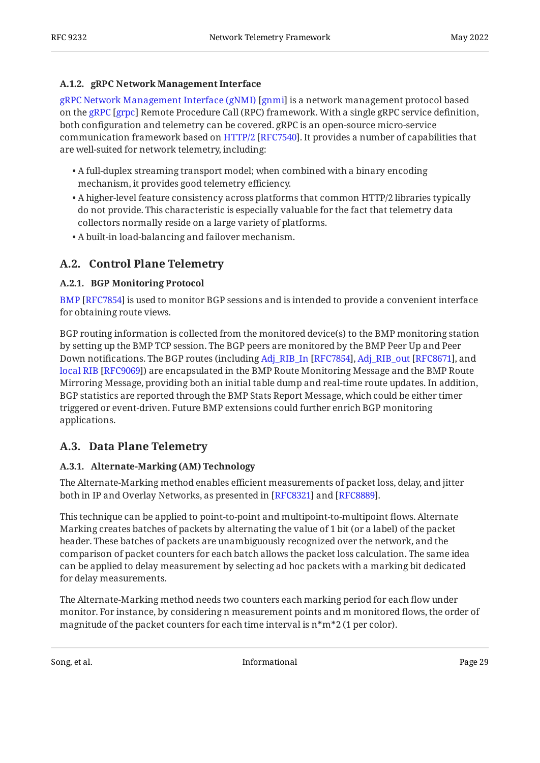### <span id="page-28-0"></span>**[A.1.2. gRPC Network Management Interface](#page-28-0)**

[gRPC Network Management Interface \(gNMI\)](#page-23-2) [[gnmi\]](#page-23-2) is a network management protocol based onthe gRPC [grpc] Remote Procedure Call (RPC) framework. With a single gRPC service definition, both configuration and telemetry can be covered. gRPC is an open-source micro-service communicationframework based on HTTP/2 [RFC7540]. It provides a number of capabilities that are well-suited for network telemetry, including:

- A full-duplex streaming transport model; when combined with a binary encoding mechanism, it provides good telemetry efficiency.
- $\bullet$  A higher-level feature consistency across platforms that common HTTP/2 libraries typically do not provide. This characteristic is especially valuable for the fact that telemetry data collectors normally reside on a large variety of platforms.
- <span id="page-28-1"></span>A built-in load-balancing and failover mechanism. •

## <span id="page-28-2"></span>**[A.2. Control Plane Telemetry](#page-28-1)**

### **[A.2.1. BGP Monitoring Protocol](#page-28-2)**

[BMP](#page-26-1) [\[RFC7854](#page-26-1)] is used to monitor BGP sessions and is intended to provide a convenient interface for obtaining route views.

BGP routing information is collected from the monitored device(s) to the BMP monitoring station by setting up the BMP TCP session. The BGP peers are monitored by the BMP Peer Up and Peer Downnotifications. The BGP routes (including Adj\_RIB\_In [RFC7854], Adj\_RIB\_out [RFC8671], and [local RIB](#page-27-6) [[RFC9069\]](#page-27-6)) are encapsulated in the BMP Route Monitoring Message and the BMP Route Mirroring Message, providing both an initial table dump and real-time route updates. In addition, BGP statistics are reported through the BMP Stats Report Message, which could be either timer triggered or event-driven. Future BMP extensions could further enrich BGP monitoring applications.

### <span id="page-28-4"></span><span id="page-28-3"></span>**[A.3. Data Plane Telemetry](#page-28-3)**

### **[A.3.1. Alternate-Marking \(AM\) Technology](#page-28-4)**

The Alternate-Marking method enables efficient measurements of packet loss, delay, and jitter both in IP and Overlay Networks, as presented in [RFC8321] and [RFC8889].

This technique can be applied to point-to-point and multipoint-to-multipoint flows. Alternate Marking creates batches of packets by alternating the value of 1 bit (or a label) of the packet header. These batches of packets are unambiguously recognized over the network, and the comparison of packet counters for each batch allows the packet loss calculation. The same idea can be applied to delay measurement by selecting ad hoc packets with a marking bit dedicated for delay measurements.

The Alternate-Marking method needs two counters each marking period for each flow under monitor. For instance, by considering n measurement points and m monitored flows, the order of magnitude of the packet counters for each time interval is n\*m\*2 (1 per color).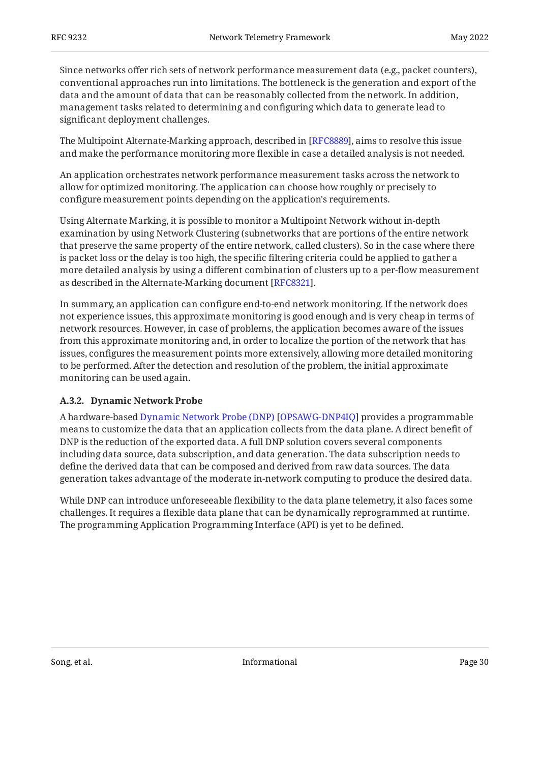Since networks offer rich sets of network performance measurement data (e.g., packet counters), conventional approaches run into limitations. The bottleneck is the generation and export of the data and the amount of data that can be reasonably collected from the network. In addition, management tasks related to determining and configuring which data to generate lead to significant deployment challenges.

The Multipoint Alternate-Marking approach, described in [\[RFC8889\]](#page-26-11), aims to resolve this issue and make the performance monitoring more flexible in case a detailed analysis is not needed.

An application orchestrates network performance measurement tasks across the network to allow for optimized monitoring. The application can choose how roughly or precisely to configure measurement points depending on the application's requirements.

Using Alternate Marking, it is possible to monitor a Multipoint Network without in-depth examination by using Network Clustering (subnetworks that are portions of the entire network that preserve the same property of the entire network, called clusters). So in the case where there is packet loss or the delay is too high, the specific filtering criteria could be applied to gather a more detailed analysis by using a different combination of clusters up to a per-flow measurement as described in the Alternate-Marking document [RFC8321].

In summary, an application can configure end-to-end network monitoring. If the network does not experience issues, this approximate monitoring is good enough and is very cheap in terms of network resources. However, in case of problems, the application becomes aware of the issues from this approximate monitoring and, in order to localize the portion of the network that has issues, configures the measurement points more extensively, allowing more detailed monitoring to be performed. After the detection and resolution of the problem, the initial approximate monitoring can be used again.

### <span id="page-29-0"></span>**[A.3.2. Dynamic Network Probe](#page-29-0)**

Ahardware-based Dynamic Network Probe (DNP) [OPSAWG-DNP4IQ] provides a programmable means to customize the data that an application collects from the data plane. A direct benefit of DNP is the reduction of the exported data. A full DNP solution covers several components including data source, data subscription, and data generation. The data subscription needs to define the derived data that can be composed and derived from raw data sources. The data generation takes advantage of the moderate in-network computing to produce the desired data.

While DNP can introduce unforeseeable flexibility to the data plane telemetry, it also faces some challenges. It requires a flexible data plane that can be dynamically reprogrammed at runtime. The programming Application Programming Interface (API) is yet to be defined.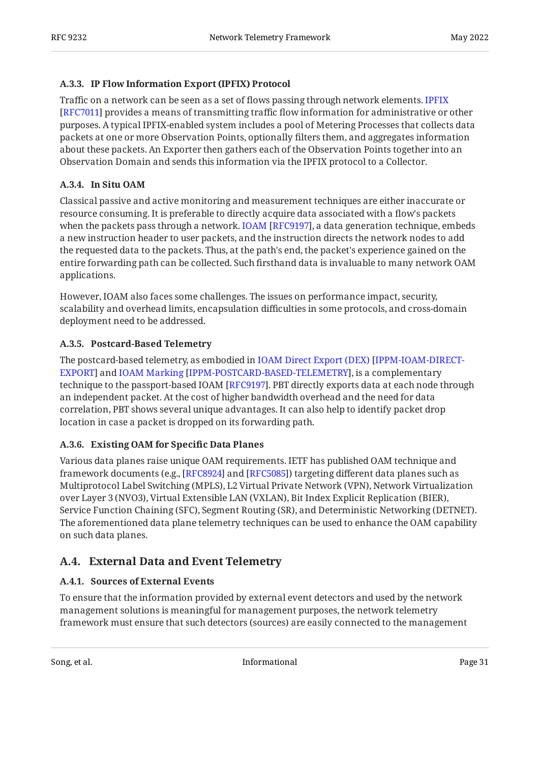### <span id="page-30-0"></span>**[A.3.3. IP Flow Information Export \(IPFIX\) Protocol](#page-30-0)**

Traffic on a network can be seen as a set of flows passing through network elements. [IPFIX](#page-25-1) [[RFC7011\]](#page-25-1) provides a means of transmitting traffic flow information for administrative or other purposes. A typical IPFIX-enabled system includes a pool of Metering Processes that collects data packets at one or more Observation Points, optionally filters them, and aggregates information about these packets. An Exporter then gathers each of the Observation Points together into an Observation Domain and sends this information via the IPFIX protocol to a Collector.

### <span id="page-30-1"></span>**[A.3.4. In Situ OAM](#page-30-1)**

Classical passive and active monitoring and measurement techniques are either inaccurate or resource consuming. It is preferable to directly acquire data associated with a flow's packets whenthe packets pass through a network. IOAM [RFC9197], a data generation technique, embeds a new instruction header to user packets, and the instruction directs the network nodes to add the requested data to the packets. Thus, at the path's end, the packet's experience gained on the entire forwarding path can be collected. Such firsthand data is invaluable to many network OAM applications.

However, IOAM also faces some challenges. The issues on performance impact, security, scalability and overhead limits, encapsulation difficulties in some protocols, and cross-domain deployment need to be addressed.

### <span id="page-30-2"></span>**[A.3.5. Postcard-Based Telemetry](#page-30-2)**

The postcard-based telemetry, as embodied in [IOAM Direct Export \(DEX\)](#page-23-5) [[IPPM-IOAM-DIRECT](#page-23-5)EXPORT]and IOAM Marking [IPPM-POSTCARD-BASED-TELEMETRY], is a complementary technique to the passport-based IOAM [[RFC9197\]](#page-27-3). PBT directly exports data at each node through an independent packet. At the cost of higher bandwidth overhead and the need for data correlation, PBT shows several unique advantages. It can also help to identify packet drop location in case a packet is dropped on its forwarding path.

### <span id="page-30-3"></span>**[A.3.6. Existing OAM for Speci](#page-30-3)fic Data Planes**

Various data planes raise unique OAM requirements. IETF has published OAM technique and framework documents (e.g., [RFC8924] and [RFC5085]) targeting different data planes such as Multiprotocol Label Switching (MPLS), L2 Virtual Private Network (VPN), Network Virtualization over Layer 3 (NVO3), Virtual Extensible LAN (VXLAN), Bit Index Explicit Replication (BIER), Service Function Chaining (SFC), Segment Routing (SR), and Deterministic Networking (DETNET). The aforementioned data plane telemetry techniques can be used to enhance the OAM capability on such data planes.

## <span id="page-30-5"></span><span id="page-30-4"></span>**[A.4. External Data and Event Telemetry](#page-30-4)**

### **[A.4.1. Sources of External Events](#page-30-5)**

To ensure that the information provided by external event detectors and used by the network management solutions is meaningful for management purposes, the network telemetry framework must ensure that such detectors (sources) are easily connected to the management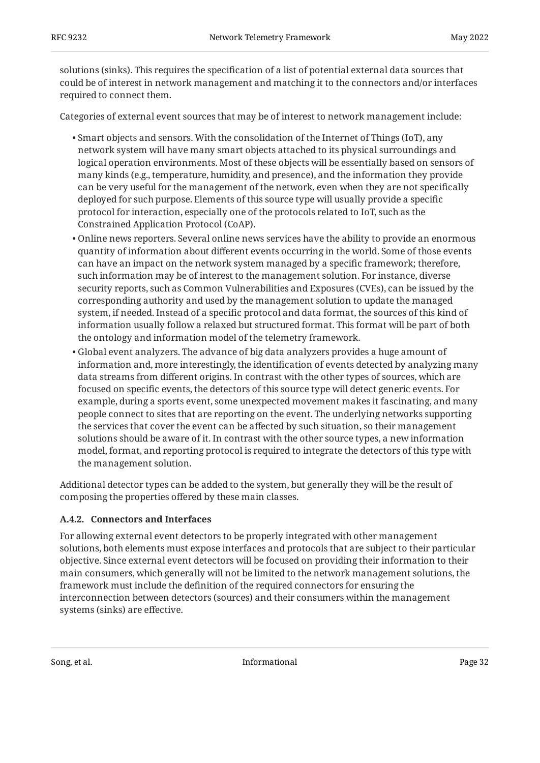solutions (sinks). This requires the specification of a list of potential external data sources that could be of interest in network management and matching it to the connectors and/or interfaces required to connect them.

Categories of external event sources that may be of interest to network management include:

- $\bullet$  Smart objects and sensors. With the consolidation of the Internet of Things (IoT), any network system will have many smart objects attached to its physical surroundings and logical operation environments. Most of these objects will be essentially based on sensors of many kinds (e.g., temperature, humidity, and presence), and the information they provide can be very useful for the management of the network, even when they are not specifically deployed for such purpose. Elements of this source type will usually provide a specific protocol for interaction, especially one of the protocols related to IoT, such as the Constrained Application Protocol (CoAP).
- Online news reporters. Several online news services have the ability to provide an enormous quantity of information about different events occurring in the world. Some of those events can have an impact on the network system managed by a specific framework; therefore, such information may be of interest to the management solution. For instance, diverse security reports, such as Common Vulnerabilities and Exposures (CVEs), can be issued by the corresponding authority and used by the management solution to update the managed system, if needed. Instead of a specific protocol and data format, the sources of this kind of information usually follow a relaxed but structured format. This format will be part of both the ontology and information model of the telemetry framework.
- Global event analyzers. The advance of big data analyzers provides a huge amount of information and, more interestingly, the identification of events detected by analyzing many data streams from different origins. In contrast with the other types of sources, which are focused on specific events, the detectors of this source type will detect generic events. For example, during a sports event, some unexpected movement makes it fascinating, and many people connect to sites that are reporting on the event. The underlying networks supporting the services that cover the event can be affected by such situation, so their management solutions should be aware of it. In contrast with the other source types, a new information model, format, and reporting protocol is required to integrate the detectors of this type with the management solution.

Additional detector types can be added to the system, but generally they will be the result of composing the properties offered by these main classes.

### <span id="page-31-0"></span>**[A.4.2. Connectors and Interfaces](#page-31-0)**

For allowing external event detectors to be properly integrated with other management solutions, both elements must expose interfaces and protocols that are subject to their particular objective. Since external event detectors will be focused on providing their information to their main consumers, which generally will not be limited to the network management solutions, the framework must include the definition of the required connectors for ensuring the interconnection between detectors (sources) and their consumers within the management systems (sinks) are effective.